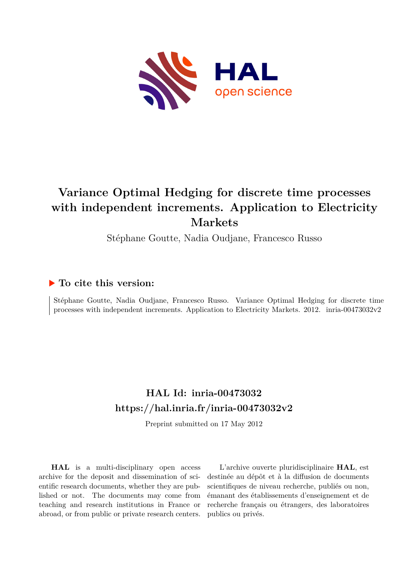

# **Variance Optimal Hedging for discrete time processes with independent increments. Application to Electricity Markets**

Stéphane Goutte, Nadia Oudjane, Francesco Russo

## **To cite this version:**

Stéphane Goutte, Nadia Oudjane, Francesco Russo. Variance Optimal Hedging for discrete time processes with independent increments. Application to Electricity Markets.  $2012$ . inria-00473032v2

## **HAL Id: inria-00473032 <https://hal.inria.fr/inria-00473032v2>**

Preprint submitted on 17 May 2012

**HAL** is a multi-disciplinary open access archive for the deposit and dissemination of scientific research documents, whether they are published or not. The documents may come from teaching and research institutions in France or abroad, or from public or private research centers.

L'archive ouverte pluridisciplinaire **HAL**, est destinée au dépôt et à la diffusion de documents scientifiques de niveau recherche, publiés ou non, émanant des établissements d'enseignement et de recherche français ou étrangers, des laboratoires publics ou privés.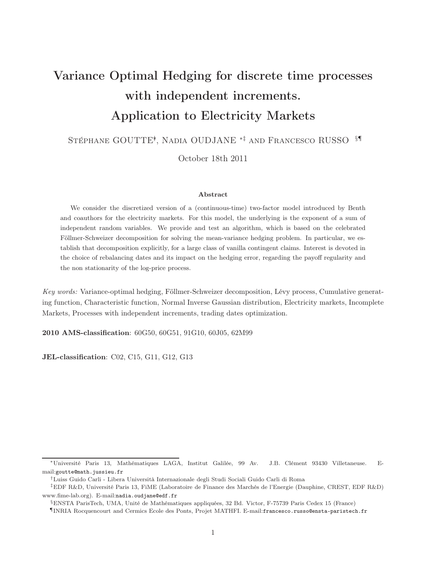# Variance Optimal Hedging for discrete time processes with independent increments. Application to Electricity Markets

Stéphane GOUTTE∗† , Nadia OUDJANE ∗‡ and Francesco RUSSO §¶

October 18th 2011

#### Abstract

We consider the discretized version of a (continuous-time) two-factor model introduced by Benth and coauthors for the electricity markets. For this model, the underlying is the exponent of a sum of independent random variables. We provide and test an algorithm, which is based on the celebrated Föllmer-Schweizer decomposition for solving the mean-variance hedging problem. In particular, we establish that decomposition explicitly, for a large class of vanilla contingent claims. Interest is devoted in the choice of rebalancing dates and its impact on the hedging error, regarding the payoff regularity and the non stationarity of the log-price process.

Key words: Variance-optimal hedging, Föllmer-Schweizer decomposition, Lévy process, Cumulative generating function, Characteristic function, Normal Inverse Gaussian distribution, Electricity markets, Incomplete Markets, Processes with independent increments, trading dates optimization.

2010 AMS-classification: 60G50, 60G51, 91G10, 60J05, 62M99

JEL-classification: C02, C15, G11, G12, G13

<sup>∗</sup>Université Paris 13, Mathématiques LAGA, Institut Galilée, 99 Av. J.B. Clément 93430 Villetaneuse. Email:goutte@math.jussieu.fr

<sup>†</sup>Luiss Guido Carli - Libera Università Internazionale degli Studi Sociali Guido Carli di Roma

<sup>‡</sup>EDF R&D, Université Paris 13, FiME (Laboratoire de Finance des Marchés de l'Energie (Dauphine, CREST, EDF R&D) www.fime-lab.org). E-mail:nadia.oudjane@edf.fr

<sup>§</sup>ENSTA ParisTech, UMA, Unité de Mathématiques appliquées, 32 Bd. Victor, F-75739 Paris Cedex 15 (France)

<sup>¶</sup>INRIA Rocquencourt and Cermics Ecole des Ponts, Projet MATHFI. E-mail:francesco.russo@ensta-paristech.fr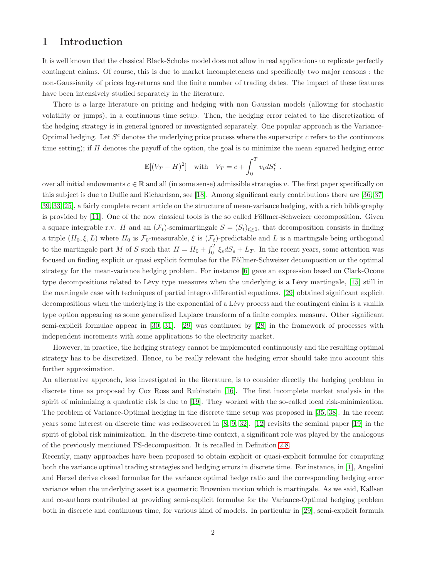## 1 Introduction

It is well known that the classical Black-Scholes model does not allow in real applications to replicate perfectly contingent claims. Of course, this is due to market incompleteness and specifically two major reasons : the non-Gaussianity of prices log-returns and the finite number of trading dates. The impact of these features have been intensively studied separately in the literature.

There is a large literature on pricing and hedging with non Gaussian models (allowing for stochastic volatility or jumps), in a continuous time setup. Then, the hedging error related to the discretization of the hedging strategy is in general ignored or investigated separately. One popular approach is the Variance-Optimal hedging. Let  $S<sup>c</sup>$  denotes the underlying price process where the superscript c refers to the continuous time setting); if  $H$  denotes the payoff of the option, the goal is to minimize the mean squared hedging error

$$
\mathbb{E}[(V_T - H)^2] \quad \text{with} \quad V_T = c + \int_0^T v_t dS_t^c.
$$

over all initial endowments  $c \in \mathbb{R}$  and all (in some sense) admissible strategies v. The first paper specifically on this subject is due to Duffie and Richardson, see [\[18\]](#page-30-0). Among significant early contributions there are [\[36,](#page-31-0) [37,](#page-31-1) [39,](#page-31-2) [33,](#page-31-3) [25\]](#page-30-1), a fairly complete recent article on the structure of mean-variance hedging, with a rich bibliography is provided by [\[11\]](#page-30-2). One of the now classical tools is the so called Föllmer-Schweizer decomposition. Given a square integrable r.v. H and an  $(\mathcal{F}_t)$ -semimartingale  $S = (S_t)_{t\geq0}$ , that decomposition consists in finding a triple  $(H_0, \xi, L)$  where  $H_0$  is  $\mathcal{F}_0$ -measurable,  $\xi$  is  $(\mathcal{F}_t)$ -predictable and L is a martingale being orthogonal to the martingale part M of S such that  $H = H_0 + \int_0^T \xi_s dS_s + L_T$ . In the recent years, some attention was focused on finding explicit or quasi explicit formulae for the Föllmer-Schweizer decomposition or the optimal strategy for the mean-variance hedging problem. For instance [\[6\]](#page-29-0) gave an expression based on Clark-Ocone type decompositions related to Lévy type measures when the underlying is a Lévy martingale, [\[15\]](#page-30-3) still in the martingale case with techniques of partial integro differential equations. [\[29\]](#page-31-4) obtained significant explicit decompositions when the underlying is the exponential of a Lévy process and the contingent claim is a vanilla type option appearing as some generalized Laplace transform of a finite complex measure. Other significant semi-explicit formulae appear in [\[30,](#page-31-5) [31\]](#page-31-6). [\[29\]](#page-31-4) was continued by [\[28\]](#page-31-7) in the framework of processes with independent increments with some applications to the electricity market.

However, in practice, the hedging strategy cannot be implemented continuously and the resulting optimal strategy has to be discretized. Hence, to be really relevant the hedging error should take into account this further approximation.

An alternative approach, less investigated in the literature, is to consider directly the hedging problem in discrete time as proposed by Cox Ross and Rubinstein [\[16\]](#page-30-4). The first incomplete market analysis in the spirit of minimizing a quadratic risk is due to [\[19\]](#page-30-5). They worked with the so-called local risk-minimization. The problem of Variance-Optimal hedging in the discrete time setup was proposed in [\[35,](#page-31-8) [38\]](#page-31-9). In the recent years some interest on discrete time was rediscovered in [\[8,](#page-29-1) [9,](#page-30-6) [32\]](#page-31-10). [\[12\]](#page-30-7) revisits the seminal paper [\[19\]](#page-30-5) in the spirit of global risk minimization. In the discrete-time context, a significant role was played by the analogous of the previously mentioned FS-decomposition. It is recalled in Definition [2.8.](#page-6-0)

Recently, many approaches have been proposed to obtain explicit or quasi-explicit formulae for computing both the variance optimal trading strategies and hedging errors in discrete time. For instance, in [\[1\]](#page-29-2), Angelini and Herzel derive closed formulae for the variance optimal hedge ratio and the corresponding hedging error variance when the underlying asset is a geometric Brownian motion which is martingale. As we said, Kallsen and co-authors contributed at providing semi-explicit formulae for the Variance-Optimal hedging problem both in discrete and continuous time, for various kind of models. In particular in [\[29\]](#page-31-4), semi-explicit formula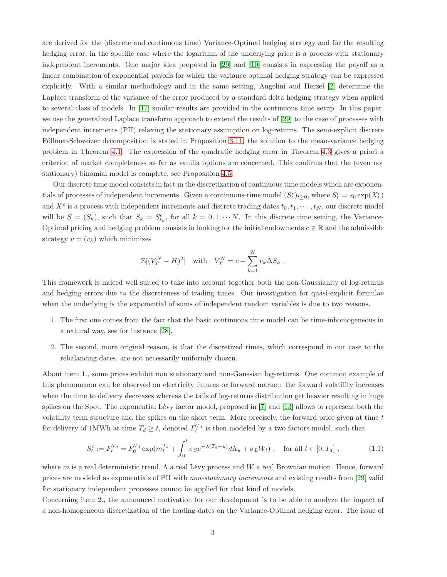are derived for the (discrete and continuous time) Variance-Optimal hedging strategy and for the resulting hedging error, in the specific case where the logarithm of the underlying price is a process with stationary independent increments. One major idea proposed in [\[29\]](#page-31-4) and [\[10\]](#page-30-8) consists in expressing the payoff as a linear combination of exponential payoffs for which the variance optimal hedging strategy can be expressed explicitly. With a similar methodology and in the same setting, Angelini and Herzel [\[2\]](#page-29-3) determine the Laplace transform of the variance of the error produced by a standard delta hedging strategy when applied to several class of models. In [\[17\]](#page-30-9) similar results are provided in the continuous time setup. In this paper, we use the generalized Laplace transform approach to extend the results of [\[29\]](#page-31-4) to the case of processes with independent increments (PII) relaxing the stationary assumption on log-returns. The semi-explicit discrete Föllmer-Schweizer decomposition is stated in Proposition [3.11,](#page-9-0) the solution to the mean-variance hedging problem in Theorem [4.1.](#page-13-0) The expression of the quadratic hedging error in Theorem [4.3](#page-13-1) gives a priori a criterion of market completeness as far as vanilla options are concerned. This confirms that the (even not stationary) binomial model is complete, see Proposition [4.5.](#page-16-0)

Our discrete time model consists in fact in the discretization of continuous time models which are exponentials of processes of independent increments. Given a continuous-time model  $(S_t^c)_{t\geq 0}$ , where  $S_t^c = s_0 \exp(X_t^c)$ and  $X^c$  is a process with independent increments and discrete trading dates  $t_0, t_1, \cdots, t_N$ , our discrete model will be  $S = (S_k)$ , such that  $S_k = S_{t_k}^c$ , for all  $k = 0, 1, \dots N$ . In this discrete time setting, the Variance-Optimal pricing and hedging problem consists in looking for the initial endowments  $c \in \mathbb{R}$  and the admissible strategy  $v = (v_k)$  which minimizes

$$
\mathbb{E}[(V_T^N - H)^2] \quad \text{with} \quad V_T^N = c + \sum_{k=1}^N v_k \Delta S_k .
$$

This framework is indeed well suited to take into account together both the non-Gaussianity of log-returns and hedging errors due to the discreteness of trading times. Our investigation for quasi-explicit formulae when the underlying is the exponential of sums of independent random variables is due to two reasons.

- 1. The first one comes from the fact that the basic continuous time model can be time-inhomogeneous in a natural way, see for instance [\[28\]](#page-31-7).
- 2. The second, more original reason, is that the discretized times, which correspond in our case to the rebalancing dates, are not necessarily uniformly chosen.

About item 1., some prices exhibit non stationary and non-Gaussian log-returns. One common example of this phenomenon can be observed on electricity futures or forward market: the forward volatility increases when the time to delivery decreases whereas the tails of log-returns distribution get heavier resulting in huge spikes on the Spot. The exponential Lévy factor model, proposed in [\[7\]](#page-29-4) and [\[13\]](#page-30-10) allows to represent both the volatility term structure and the spikes on the short term. More precisely, the forward price given at time t for delivery of 1MWh at time  $T_d \geq t$ , denoted  $F_t^{T_d}$  is then modeled by a two factors model, such that

<span id="page-3-0"></span>
$$
S_t^c := F_t^{T_d} = F_0^{T_d} \exp(m_t^{T_d} + \int_0^t \sigma_S e^{-\lambda (T_d - u)} d\Lambda_u + \sigma_L W_t) , \text{ for all } t \in [0, T_d] ,
$$
 (1.1)

where m is a real deterministic trend,  $\Lambda$  a real Lévy process and W a real Brownian motion. Hence, forward prices are modeled as exponentials of PII with non-stationary increments and existing results from [\[29\]](#page-31-4) valid for stationary independent processes cannot be applied for that kind of models.

Concerning item 2., the announced motivation for our development is to be able to analyze the impact of a non-homogeneous discretization of the trading dates on the Variance-Optimal hedging error. The issue of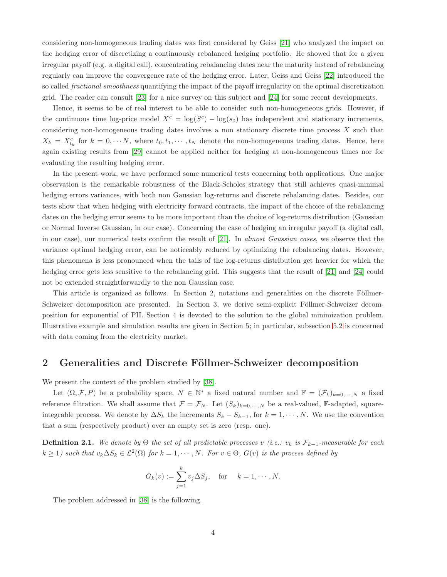considering non-homogeneous trading dates was first considered by Geiss [\[21\]](#page-30-11) who analyzed the impact on the hedging error of discretizing a continuously rebalanced hedging portfolio. He showed that for a given irregular payoff (e.g. a digital call), concentrating rebalancing dates near the maturity instead of rebalancing regularly can improve the convergence rate of the hedging error. Later, Geiss and Geiss [\[22\]](#page-30-12) introduced the so called *fractional smoothness* quantifying the impact of the payoff irregularity on the optimal discretization grid. The reader can consult [\[23\]](#page-30-13) for a nice survey on this subject and [\[24\]](#page-30-14) for some recent developments.

Hence, it seems to be of real interest to be able to consider such non-homogeneous grids. However, if the continuous time log-price model  $X^c = \log(S^c) - \log(s_0)$  has independent and stationary increments, considering non-homogeneous trading dates involves a non stationary discrete time process X such that  $X_k = X_{t_k}^c$  for  $k = 0, \dots N$ , where  $t_0, t_1, \dots, t_N$  denote the non-homogeneous trading dates. Hence, here again existing results from [\[29\]](#page-31-4) cannot be applied neither for hedging at non-homogeneous times nor for evaluating the resulting hedging error.

In the present work, we have performed some numerical tests concerning both applications. One major observation is the remarkable robustness of the Black-Scholes strategy that still achieves quasi-minimal hedging errors variances, with both non Gaussian log-returns and discrete rebalancing dates. Besides, our tests show that when hedging with electricity forward contracts, the impact of the choice of the rebalancing dates on the hedging error seems to be more important than the choice of log-returns distribution (Gaussian or Normal Inverse Gaussian, in our case). Concerning the case of hedging an irregular payoff (a digital call, in our case), our numerical tests confirm the result of [\[21\]](#page-30-11). In almost Gaussian cases, we observe that the variance optimal hedging error, can be noticeably reduced by optimizing the rebalancing dates. However, this phenomena is less pronounced when the tails of the log-returns distribution get heavier for which the hedging error gets less sensitive to the rebalancing grid. This suggests that the result of [\[21\]](#page-30-11) and [\[24\]](#page-30-14) could not be extended straightforwardly to the non Gaussian case.

This article is organized as follows. In Section 2, notations and generalities on the discrete Föllmer-Schweizer decomposition are presented. In Section 3, we derive semi-explicit Föllmer-Schweizer decomposition for exponential of PII. Section 4 is devoted to the solution to the global minimization problem. Illustrative example and simulation results are given in Section 5; in particular, subsection [5.2](#page-20-0) is concerned with data coming from the electricity market.

## 2 Generalities and Discrete Föllmer-Schweizer decomposition

We present the context of the problem studied by [\[38\]](#page-31-9).

Let  $(\Omega, \mathcal{F}, P)$  be a probability space,  $N \in \mathbb{N}^*$  a fixed natural number and  $\mathbb{F} = (\mathcal{F}_k)_{k=0,\dots,N}$  a fixed reference filtration. We shall assume that  $\mathcal{F} = \mathcal{F}_N$ . Let  $(S_k)_{k=0,\dots,N}$  be a real-valued, F-adapted, squareintegrable process. We denote by  $\Delta S_k$  the increments  $S_k - S_{k-1}$ , for  $k = 1, \dots, N$ . We use the convention that a sum (respectively product) over an empty set is zero (resp. one).

**Definition 2.1.** We denote by  $\Theta$  the set of all predictable processes v (i.e.:  $v_k$  is  $\mathcal{F}_{k-1}$ -measurable for each  $k \geq 1$ ) such that  $v_k \Delta S_k \in \mathcal{L}^2(\Omega)$  for  $k = 1, \dots, N$ . For  $v \in \Theta$ ,  $G(v)$  is the process defined by

$$
G_k(v) := \sum_{j=1}^k v_j \Delta S_j, \quad \text{for} \quad k = 1, \cdots, N.
$$

The problem addressed in [\[38\]](#page-31-9) is the following.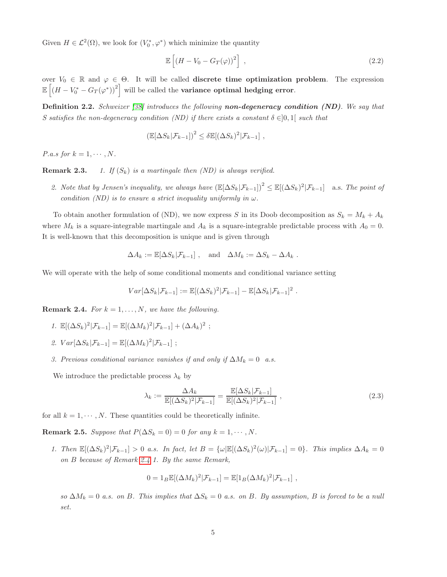Given  $H \in \mathcal{L}^2(\Omega)$ , we look for  $(V_0^*, \varphi^*)$  which minimize the quantity

<span id="page-5-1"></span>
$$
\mathbb{E}\left[\left(H - V_0 - G_T(\varphi)\right)^2\right] \,,\tag{2.2}
$$

over  $V_0 \in \mathbb{R}$  and  $\varphi \in \Theta$ . It will be called **discrete time optimization problem**. The expression  $\mathbb{E}\left[\left(H - V_0^* - G_T(\varphi^*)\right)^2\right]$  will be called the **variance optimal hedging error**.

**Definition 2.2.** Schweizer [\[38\]](#page-31-9) introduces the following **non-degeneracy condition (ND)**. We say that S satisfies the non-degeneracy condition (ND) if there exists a constant  $\delta \in ]0,1]$  such that

$$
\left(\mathbb{E}[\Delta S_k|\mathcal{F}_{k-1}]\right)^2 \leq \delta \mathbb{E}[(\Delta S_k)^2|\mathcal{F}_{k-1}],
$$

P.a.s for  $k = 1, \cdots, N$ .

**Remark 2.3.** 1. If  $(S_k)$  is a martingale then  $(ND)$  is always verified.

2. Note that by Jensen's inequality, we always have  $(\mathbb{E}[\Delta S_k|\mathcal{F}_{k-1}])^2 \leq \mathbb{E}[(\Delta S_k)^2|\mathcal{F}_{k-1}]$  a.s. The point of condition (ND) is to ensure a strict inequality uniformly in  $\omega$ .

To obtain another formulation of (ND), we now express S in its Doob decomposition as  $S_k = M_k + A_k$ where  $M_k$  is a square-integrable martingale and  $A_k$  is a square-integrable predictable process with  $A_0 = 0$ . It is well-known that this decomposition is unique and is given through

$$
\Delta A_k := \mathbb{E}[\Delta S_k | \mathcal{F}_{k-1}], \quad \text{and} \quad \Delta M_k := \Delta S_k - \Delta A_k.
$$

We will operate with the help of some conditional moments and conditional variance setting

$$
Var[\Delta S_k|\mathcal{F}_{k-1}] := \mathbb{E}[(\Delta S_k)^2|\mathcal{F}_{k-1}] - \mathbb{E}[\Delta S_k|\mathcal{F}_{k-1}]^2.
$$

<span id="page-5-0"></span>**Remark 2.4.** For  $k = 1, ..., N$ , we have the following.

- 1.  $\mathbb{E}[(\Delta S_k)^2 | \mathcal{F}_{k-1}] = \mathbb{E}[(\Delta M_k)^2 | \mathcal{F}_{k-1}] + (\Delta A_k)^2;$
- 2.  $Var[\Delta S_k | \mathcal{F}_{k-1}] = \mathbb{E}[(\Delta M_k)^2 | \mathcal{F}_{k-1}]$ ;
- 3. Previous conditional variance vanishes if and only if  $\Delta M_k = 0$  a.s.

We introduce the predictable process  $\lambda_k$  by

<span id="page-5-2"></span>
$$
\lambda_k := \frac{\Delta A_k}{\mathbb{E}[(\Delta S_k)^2 | \mathcal{F}_{k-1}]} = \frac{\mathbb{E}[\Delta S_k | \mathcal{F}_{k-1}]}{\mathbb{E}[(\Delta S_k)^2 | \mathcal{F}_{k-1}]} \tag{2.3}
$$

for all  $k = 1, \dots, N$ . These quantities could be theoretically infinite.

Remark 2.5. Suppose that  $P(\Delta S_k = 0) = 0$  for any  $k = 1, \dots, N$ .

1. Then  $\mathbb{E}[(\Delta S_k)^2|\mathcal{F}_{k-1}] > 0$  a.s. In fact, let  $B = {\omega |\mathbb{E}[(\Delta S_k)^2(\omega)|\mathcal{F}_{k-1}]} = 0$ . This implies  $\Delta A_k = 0$ on B because of Remark [2.4](#page-5-0) 1. By the same Remark,

$$
0 = 1_B \mathbb{E}[(\Delta M_k)^2 | \mathcal{F}_{k-1}] = \mathbb{E}[1_B (\Delta M_k)^2 | \mathcal{F}_{k-1}],
$$

so  $\Delta M_k = 0$  a.s. on B. This implies that  $\Delta S_k = 0$  a.s. on B. By assumption, B is forced to be a null set.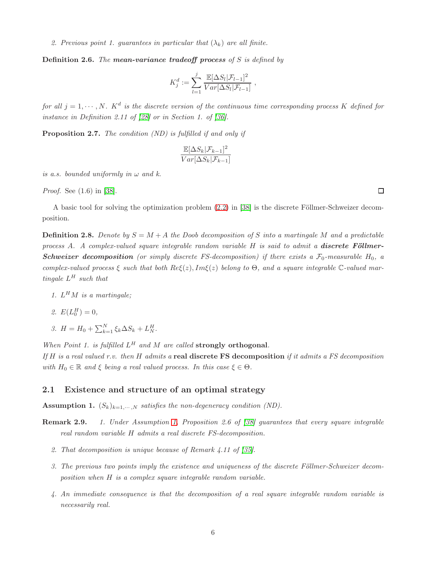2. Previous point 1. guarantees in particular that  $(\lambda_k)$  are all finite.

<span id="page-6-3"></span>**Definition 2.6.** The **mean-variance tradeoff process** of S is defined by

$$
K_j^d := \sum_{l=1}^j \frac{\mathbb{E}[\Delta S_l | \mathcal{F}_{l-1}]^2}{Var[\Delta S_l | \mathcal{F}_{l-1}]} ,
$$

for all  $j = 1, \dots, N$ . K<sup>d</sup> is the discrete version of the continuous time corresponding process K defined for instance in Definition 2.11 of [\[28\]](#page-31-7) or in Section 1. of [\[36\]](#page-31-0).

<span id="page-6-2"></span>Proposition 2.7. The condition *(ND)* is fulfilled if and only if

$$
\frac{\mathbb{E}[\Delta S_k|\mathcal{F}_{k-1}]^2}{Var[\Delta S_k|\mathcal{F}_{k-1}]}
$$

is a.s. bounded uniformly in  $\omega$  and k.

Proof. See (1.6) in [\[38\]](#page-31-9).

A basic tool for solving the optimization problem [\(2.2\)](#page-5-1) in [\[38\]](#page-31-9) is the discrete Föllmer-Schweizer decomposition.

<span id="page-6-0"></span>**Definition 2.8.** Denote by  $S = M + A$  the Doob decomposition of S into a martingale M and a predictable process A. A complex-valued square integrable random variable  $H$  is said to admit a **discrete Föllmer-Schweizer decomposition** (or simply discrete FS-decomposition) if there exists a  $\mathcal{F}_0$ -measurable  $H_0$ , a complex-valued process  $\xi$  such that both  $Re\xi(z)$ ,  $Im\xi(z)$  belong to  $\Theta$ , and a square integrable  $\mathbb{C}\text{-}valued$  martingale  $L^H$  such that

- 1.  $L^HM$  is a martingale;
- 2.  $E(L_0^H) = 0$ ,
- 3.  $H = H_0 + \sum_{k=1}^{N} \xi_k \Delta S_k + L_N^H$ .

When Point 1. is fulfilled  $L^H$  and M are called strongly orthogonal.

If H is a real valued r.v. then H admits a real discrete FS decomposition if it admits a FS decomposition with  $H_0 \in \mathbb{R}$  and  $\xi$  being a real valued process. In this case  $\xi \in \Theta$ .

#### 2.1 Existence and structure of an optimal strategy

<span id="page-6-1"></span>**Assumption 1.**  $(S_k)_{k=1,\dots,N}$  satisfies the non-degeneracy condition (ND).

- Remark 2.9. 1. Under Assumption [1,](#page-6-1) Proposition 2.6 of [\[38\]](#page-31-9) guarantees that every square integrable real random variable H admits a real discrete FS-decomposition.
	- 2. That decomposition is unique because of Remark 4.11 of [\[35\]](#page-31-8).
	- 3. The previous two points imply the existence and uniqueness of the discrete Föllmer-Schweizer decomposition when H is a complex square integrable random variable.
	- 4. An immediate consequence is that the decomposition of a real square integrable random variable is necessarily real.

 $\Box$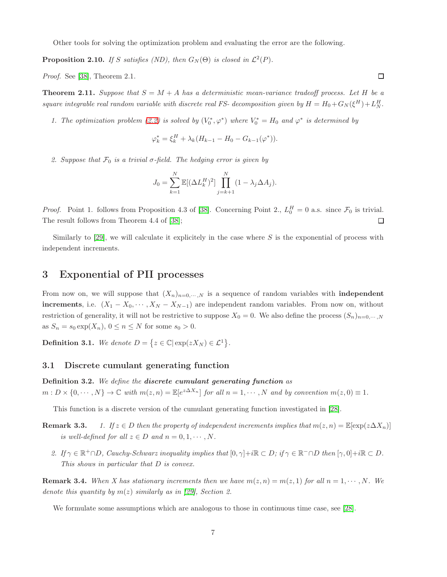Other tools for solving the optimization problem and evaluating the error are the following.

**Proposition 2.10.** If S satisfies (ND), then  $G_N(\Theta)$  is closed in  $\mathcal{L}^2(P)$ .

Proof. See [\[38\]](#page-31-9), Theorem 2.1.

<span id="page-7-1"></span>**Theorem 2.11.** Suppose that  $S = M + A$  has a deterministic mean-variance tradeoff process. Let H be a square integrable real random variable with discrete real FS- decomposition given by  $H = H_0 + G_N(\xi^H) + L_N^H$ .

1. The optimization problem [\(2.2\)](#page-5-1) is solved by  $(V_0^*, \varphi^*)$  where  $V_0^* = H_0$  and  $\varphi^*$  is determined by

$$
\varphi_k^* = \xi_k^H + \lambda_k (H_{k-1} - H_0 - G_{k-1}(\varphi^*)).
$$

2. Suppose that  $\mathcal{F}_0$  is a trivial  $\sigma$ -field. The hedging error is given by

$$
J_0 = \sum_{k=1}^{N} \mathbb{E}[(\Delta L_k^H)^2] \prod_{j=k+1}^{N} (1 - \lambda_j \Delta A_j).
$$

*Proof.* Point 1. follows from Proposition 4.3 of [\[38\]](#page-31-9). Concerning Point 2.,  $L_0^H = 0$  a.s. since  $\mathcal{F}_0$  is trivial. The result follows from Theorem 4.4 of [\[38\]](#page-31-9);  $\Box$ 

Similarly to [\[29\]](#page-31-4), we will calculate it explicitely in the case where  $S$  is the exponential of process with independent increments.

## 3 Exponential of PII processes

From now on, we will suppose that  $(X_n)_{n=0,\dots,N}$  is a sequence of random variables with **independent increments**, i.e.  $(X_1 - X_0, \cdots, X_N - X_{N-1})$  are independent random variables. From now on, without restriction of generality, it will not be restrictive to suppose  $X_0 = 0$ . We also define the process  $(S_n)_{n=0,\dots,N}$ as  $S_n = s_0 \exp(X_n)$ ,  $0 \le n \le N$  for some  $s_0 > 0$ .

**Definition 3.1.** We denote  $D = \{z \in \mathbb{C} | \exp(zX_N) \in \mathcal{L}^1 \}.$ 

#### 3.1 Discrete cumulant generating function

Definition 3.2. We define the discrete cumulant generating function as  $m: D \times \{0, \dots, N\} \to \mathbb{C}$  with  $m(z, n) = \mathbb{E}[e^{z\Delta X_n}]$  for all  $n = 1, \dots, N$  and by convention  $m(z, 0) \equiv 1$ .

This function is a discrete version of the cumulant generating function investigated in [\[28\]](#page-31-7).

- **Remark 3.3.** 1. If  $z \in D$  then the property of independent increments implies that  $m(z, n) = \mathbb{E}[\exp(z\Delta X_n)]$ is well-defined for all  $z \in D$  and  $n = 0, 1, \cdots, N$ .
	- 2. If  $\gamma \in \mathbb{R}^+\cap D$ , Cauchy-Schwarz inequality implies that  $[0, \gamma]+i\mathbb{R} \subset D$ ; if  $\gamma \in \mathbb{R}^-\cap D$  then  $[\gamma, 0]+i\mathbb{R} \subset D$ . This shows in particular that D is convex.

<span id="page-7-0"></span>**Remark 3.4.** When X has stationary increments then we have  $m(z, n) = m(z, 1)$  for all  $n = 1, \dots, N$ . We denote this quantity by  $m(z)$  similarly as in [\[29\]](#page-31-4), Section 2.

We formulate some assumptions which are analogous to those in continuous time case, see [\[28\]](#page-31-7).

 $\Box$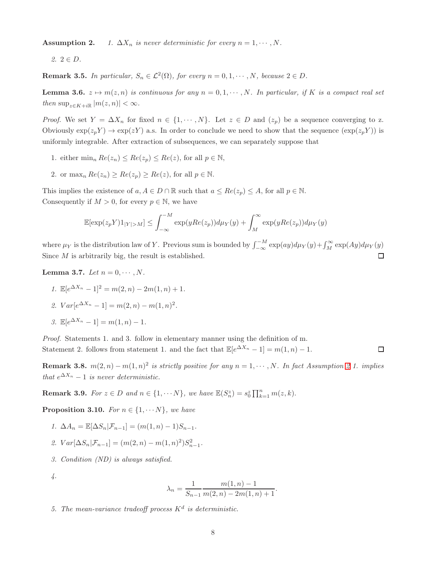**Assumption 2.** 1.  $\Delta X_n$  is never deterministic for every  $n = 1, \dots, N$ .

 $2. 2 \in D.$ 

<span id="page-8-4"></span>**Remark 3.5.** In particular,  $S_n \in \mathcal{L}^2(\Omega)$ , for every  $n = 0, 1, \dots, N$ , because  $2 \in D$ .

<span id="page-8-3"></span>**Lemma 3.6.**  $z \mapsto m(z, n)$  is continuous for any  $n = 0, 1, \dots, N$ . In particular, if K is a compact real set then  $\sup_{z \in K + i\mathbb{R}} |m(z, n)| < \infty$ .

*Proof.* We set  $Y = \Delta X_n$  for fixed  $n \in \{1, \dots, N\}$ . Let  $z \in D$  and  $(z_p)$  be a sequence converging to z. Obviously  $\exp(z_p Y) \to \exp(zY)$  a.s. In order to conclude we need to show that the sequence  $(\exp(z_p Y))$  is uniformly integrable. After extraction of subsequences, we can separately suppose that

- 1. either  $\min_n Re(z_n) \leq Re(z_n) \leq Re(z)$ , for all  $p \in \mathbb{N}$ ,
- 2. or  $\max_n Re(z_n) \geq Re(z_n) \geq Re(z)$ , for all  $p \in \mathbb{N}$ .

This implies the existence of  $a, A \in D \cap \mathbb{R}$  such that  $a \leq Re(z_p) \leq A$ , for all  $p \in \mathbb{N}$ . Consequently if  $M > 0$ , for every  $p \in \mathbb{N}$ , we have

$$
\mathbb{E}[\exp(z_p Y)1_{|Y|>M}] \leq \int_{-\infty}^{-M} \exp(yRe(z_p))d\mu_Y(y) + \int_M^{\infty} \exp(yRe(z_p))d\mu_Y(y)
$$

where  $\mu_Y$  is the distribution law of Y. Previous sum is bounded by  $\int_{-\infty}^{M} \exp(ay) d\mu_Y(y) + \int_M^{\infty} \exp(Ay) d\mu_Y(y)$ Since  $M$  is arbitrarily big, the result is established. □

<span id="page-8-0"></span>Lemma 3.7. Let  $n = 0, \cdots, N$ .

1. 
$$
\mathbb{E}[e^{\Delta X_n} - 1]^2 = m(2, n) - 2m(1, n) + 1.
$$
  
2.  $Var[e^{\Delta X_n} - 1] = m(2, n) - m(1, n)^2.$ 

3. 
$$
\mathbb{E}[e^{\Delta X_n} - 1] = m(1, n) - 1.
$$

Proof. Statements 1. and 3. follow in elementary manner using the definition of m. Statement 2. follows from statement 1. and the fact that  $\mathbb{E}[e^{\Delta X_n} - 1] = m(1, n) - 1$ .  $\Box$ 

<span id="page-8-1"></span>**Remark 3.8.**  $m(2, n) - m(1, n)^2$  is strictly positive for any  $n = 1, \dots, N$ . In fact Assumption 2.1. implies that  $e^{\Delta X_n} - 1$  is never deterministic.

**Remark 3.9.** For  $z \in D$  and  $n \in \{1, \dots N\}$ , we have  $\mathbb{E}(S_n^z) = s_0^z \prod_{k=1}^n m(z, k)$ .

<span id="page-8-2"></span>**Proposition 3.10.** For  $n \in \{1, \dots N\}$ , we have

- 1.  $\Delta A_n = \mathbb{E}[\Delta S_n | \mathcal{F}_{n-1}] = (m(1, n) 1)S_{n-1}.$
- 2.  $Var[\Delta S_n | \mathcal{F}_{n-1}] = (m(2, n) m(1, n)^2) S_{n-1}^2$ .
- 3. Condition (ND) is always satisfied.

4.

$$
\lambda_n = \frac{1}{S_{n-1}} \frac{m(1, n) - 1}{m(2, n) - 2m(1, n) + 1}.
$$

5. The mean-variance tradeoff process  $K^d$  is deterministic.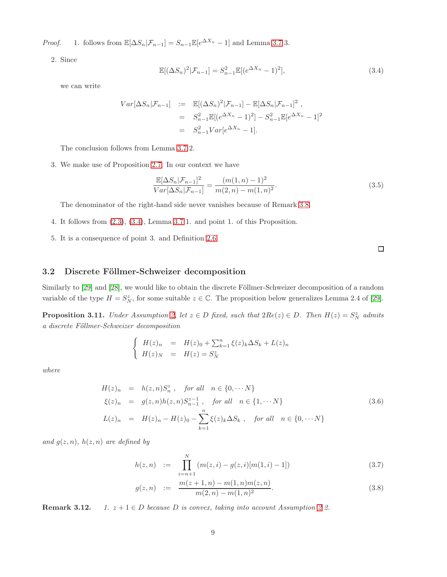*Proof.* 1. follows from  $\mathbb{E}[\Delta S_n | \mathcal{F}_{n-1}] = S_{n-1} \mathbb{E}[e^{\Delta X_n} - 1]$  and Lemma [3.7](#page-8-0) 3.

2. Since

<span id="page-9-1"></span>
$$
\mathbb{E}[(\Delta S_n)^2|\mathcal{F}_{n-1}] = S_{n-1}^2 \mathbb{E}[(e^{\Delta X_n} - 1)^2],\tag{3.4}
$$

we can write

$$
Var[\Delta S_n | \mathcal{F}_{n-1}] := \mathbb{E}[(\Delta S_n)^2 | \mathcal{F}_{n-1}] - \mathbb{E}[\Delta S_n | \mathcal{F}_{n-1}]^2,
$$
  
\n
$$
= S_{n-1}^2 \mathbb{E}[(e^{\Delta X_n} - 1)^2] - S_{n-1}^2 \mathbb{E}[e^{\Delta X_n} - 1]^2
$$
  
\n
$$
= S_{n-1}^2 Var[e^{\Delta X_n} - 1].
$$

The conclusion follows from Lemma [3.7](#page-8-0) 2.

3. We make use of Proposition [2.7.](#page-6-2) In our context we have

$$
\frac{\mathbb{E}[\Delta S_n|\mathcal{F}_{n-1}]^2}{Var[\Delta S_n|\mathcal{F}_{n-1}]} = \frac{(m(1,n)-1)^2}{m(2,n)-m(1,n)^2}.
$$
\n(3.5)

The denominator of the right-hand side never vanishes because of Remark [3.8.](#page-8-1)

- 4. It follows from [\(2.3\)](#page-5-2), [\(3.4\)](#page-9-1), Lemma [3.7](#page-8-0) 1. and point 1. of this Proposition.
- 5. It is a consequence of point 3. and Definition [2.6.](#page-6-3)

#### 3.2 Discrete Föllmer-Schweizer decomposition

Similarly to [\[29\]](#page-31-4) and [\[28\]](#page-31-7), we would like to obtain the discrete Föllmer-Schweizer decomposition of a random variable of the type  $H = S_N^z$ , for some suitable  $z \in \mathbb{C}$ . The proposition below generalizes Lemma 2.4 of [\[29\]](#page-31-4).

<span id="page-9-0"></span>**Proposition 3.11.** Under Assumption 2, let  $z \in D$  fixed, such that  $2Re(z) \in D$ . Then  $H(z) = S_N^z$  admits a discrete Föllmer-Schweizer decomposition

$$
\begin{cases}\nH(z)_n = H(z)_0 + \sum_{k=1}^n \xi(z)_k \Delta S_k + L(z)_n \\
H(z)_N = H(z) = S_N^z\n\end{cases}
$$

where

<span id="page-9-2"></span>
$$
H(z)_n = h(z, n)S_n^z, \text{ for all } n \in \{0, \cdots N\}
$$
  

$$
\xi(z)_n = g(z, n)h(z, n)S_{n-1}^{z-1}, \text{ for all } n \in \{1, \cdots N\}
$$
  

$$
L(z)_n = H(z)_n - H(z)_0 - \sum_{k=1}^n \xi(z)_k \Delta S_k, \text{ for all } n \in \{0, \cdots N\}
$$
 (3.6)

and  $g(z, n)$ ,  $h(z, n)$  are defined by

<span id="page-9-3"></span>
$$
h(z,n) := \prod_{i=n+1}^{N} (m(z,i) - g(z,i)[m(1,i) - 1])
$$
\n(3.7)

$$
g(z,n) := \frac{m(z+1,n) - m(1,n)m(z,n)}{m(2,n) - m(1,n)^2}.
$$
\n(3.8)

**Remark 3.12.** 1.  $z + 1 \in D$  because D is convex, taking into account Assumption 2 2.

 $\Box$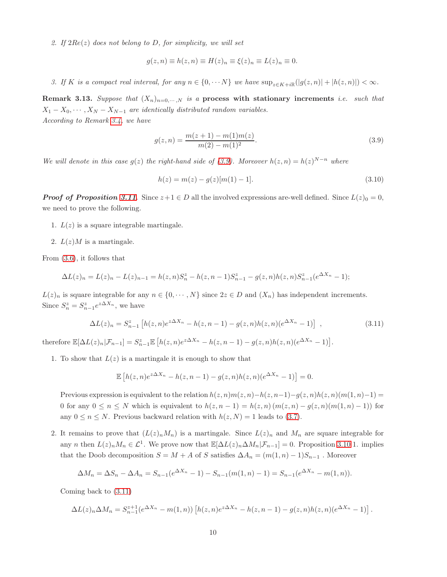2. If  $2Re(z)$  does not belong to D, for simplicity, we will set

$$
g(z, n) \equiv h(z, n) \equiv H(z)_n \equiv \xi(z)_n \equiv L(z)_n \equiv 0.
$$

3. If K is a compact real interval, for any  $n \in \{0, \cdots N\}$  we have  $\sup_{z \in K + i\mathbb{R}}(|g(z,n)| + |h(z,n)|) < \infty$ .

**Remark 3.13.** Suppose that  $(X_n)_{n=0,\dots,N}$  is a process with stationary increments i.e. such that  $X_1 - X_0, \cdots, X_N - X_{N-1}$  are identically distributed random variables. According to Remark [3.4,](#page-7-0) we have

<span id="page-10-0"></span>
$$
g(z,n) = \frac{m(z+1) - m(1)m(z)}{m(2) - m(1)^2}.
$$
\n(3.9)

We will denote in this case  $g(z)$  the right-hand side of [\(3.9\)](#page-10-0). Moreover  $h(z,n) = h(z)^{N-n}$  where

$$
h(z) = m(z) - g(z)[m(1) - 1].
$$
\n(3.10)

**Proof of Proposition [3.11](#page-9-0).** Since  $z+1 \in D$  all the involved expressions are-well defined. Since  $L(z)_0 = 0$ , we need to prove the following.

- 1.  $L(z)$  is a square integrable martingale.
- 2.  $L(z)M$  is a martingale.

From [\(3.6\)](#page-9-2), it follows that

$$
\Delta L(z)_n = L(z)_n - L(z)_{n-1} = h(z, n)S_n^z - h(z, n-1)S_{n-1}^z - g(z, n)h(z, n)S_{n-1}^z(e^{\Delta X_n} - 1);
$$

 $L(z)_n$  is square integrable for any  $n \in \{0, \dots, N\}$  since  $2z \in D$  and  $(X_n)$  has independent increments. Since  $S_n^z = S_{n-1}^z e^{z\Delta X_n}$ , we have

<span id="page-10-1"></span>
$$
\Delta L(z)_n = S_{n-1}^z \left[ h(z, n) e^{z \Delta X_n} - h(z, n-1) - g(z, n) h(z, n) (e^{\Delta X_n} - 1) \right] , \qquad (3.11)
$$

therefore  $\mathbb{E}[\Delta L(z)_n|\mathcal{F}_{n-1}] = S_{n-1}^z \mathbb{E}\left[h(z,n)e^{z\Delta X_n} - h(z,n-1) - g(z,n)h(z,n)(e^{\Delta X_n} - 1)\right].$ 

1. To show that  $L(z)$  is a martingale it is enough to show that

$$
\mathbb{E}\left[h(z,n)e^{z\Delta X_n} - h(z,n-1) - g(z,n)h(z,n)(e^{\Delta X_n} - 1)\right] = 0.
$$

Previous expression is equivalent to the relation  $h(z, n)m(z, n)-h(z, n-1)-g(z, n)h(z, n)(m(1, n)-1)=$ 0 for any  $0 \le n \le N$  which is equivalent to  $h(z, n-1) = h(z, n) (m(z, n) - g(z, n) (m(1, n) - 1))$  for any  $0 \le n \le N$ . Previous backward relation with  $h(z, N) = 1$  leads to [\(3](#page-9-3).7).

2. It remains to prove that  $(L(z)<sub>n</sub>M<sub>n</sub>)$  is a martingale. Since  $L(z)<sub>n</sub>$  and  $M<sub>n</sub>$  are square integrable for any *n* then  $L(z)_n M_n \in \mathcal{L}^1$ . We prove now that  $\mathbb{E}[\Delta L(z)_n \Delta M_n | \mathcal{F}_{n-1}] = 0$ . Proposition [3.10](#page-8-2) 1. implies that the Doob decomposition  $S = M + A$  of S satisfies  $\Delta A_n = (m(1, n) - 1)S_{n-1}$ . Moreover

$$
\Delta M_n = \Delta S_n - \Delta A_n = S_{n-1}(e^{\Delta X_n} - 1) - S_{n-1}(m(1, n) - 1) = S_{n-1}(e^{\Delta X_n} - m(1, n)).
$$

Coming back to [\(3.11\)](#page-10-1)

$$
\Delta L(z)_n \Delta M_n = S_{n-1}^{z+1} (e^{\Delta X_n} - m(1, n)) \left[ h(z, n) e^{z \Delta X_n} - h(z, n-1) - g(z, n) h(z, n) (e^{\Delta X_n} - 1) \right].
$$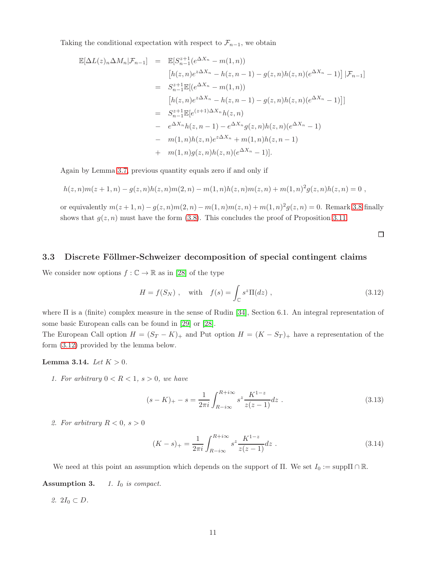Taking the conditional expectation with respect to  $\mathcal{F}_{n-1}$ , we obtain

$$
\mathbb{E}[\Delta L(z)_n \Delta M_n | \mathcal{F}_{n-1}] = \mathbb{E}[S_{n-1}^{z+1}(e^{\Delta X_n} - m(1, n))\n[h(z, n)e^{z\Delta X_n} - h(z, n-1) - g(z, n)h(z, n)(e^{\Delta X_n} - 1)] | \mathcal{F}_{n-1}]\n= S_{n-1}^{z+1} \mathbb{E}[(e^{\Delta X_n} - m(1, n))\n[h(z, n)e^{z\Delta X_n} - h(z, n-1) - g(z, n)h(z, n)(e^{\Delta X_n} - 1)]]\n= S_{n-1}^{z+1} \mathbb{E}[e^{(z+1)\Delta X_n}h(z, n)\n- e^{\Delta X_n}h(z, n-1) - e^{\Delta X_n}g(z, n)h(z, n)(e^{\Delta X_n} - 1)\n- m(1, n)h(z, n)e^{z\Delta X_n} + m(1, n)h(z, n-1)\n+ m(1, n)g(z, n)h(z, n)(e^{\Delta X_n} - 1)].
$$

Again by Lemma [3.7,](#page-8-0) previous quantity equals zero if and only if

$$
h(z,n)m(z+1,n)-g(z,n)h(z,n)m(2,n)-m(1,n)h(z,n)m(z,n)+m(1,n)^2g(z,n)h(z,n)=0,
$$

or equivalently  $m(z + 1, n) - g(z, n)m(2, n) - m(1, n)m(z, n) + m(1, n)^2 g(z, n) = 0$ . Remark [3.8](#page-8-1) finally shows that  $g(z, n)$  must have the form [\(3.8\)](#page-9-3). This concludes the proof of Proposition [3.11.](#page-9-0)

 $\Box$ 

#### 3.3 Discrete Föllmer-Schweizer decomposition of special contingent claims

We consider now options  $f : \mathbb{C} \to \mathbb{R}$  as in [\[28\]](#page-31-7) of the type

<span id="page-11-0"></span>
$$
H = f(S_N) , \quad \text{with} \quad f(s) = \int_{\mathbb{C}} s^z \Pi(dz) , \qquad (3.12)
$$

where Π is a (finite) complex measure in the sense of Rudin [\[34\]](#page-31-11), Section 6.1. An integral representation of some basic European calls can be found in [\[29\]](#page-31-4) or [\[28\]](#page-31-7).

The European Call option  $H = (S_T - K)_+$  and Put option  $H = (K - S_T)_+$  have a representation of the form [\(3.12\)](#page-11-0) provided by the lemma below.

#### <span id="page-11-1"></span>**Lemma 3.14.** *Let*  $K > 0$ *.*

1. For arbitrary  $0 < R < 1$ ,  $s > 0$ , we have

$$
(s - K)_{+} - s = \frac{1}{2\pi i} \int_{R - i\infty}^{R + i\infty} s^{z} \frac{K^{1-z}}{z(z - 1)} dz .
$$
 (3.13)

2. For arbitrary  $R < 0$ ,  $s > 0$ 

$$
(K - s)_{+} = \frac{1}{2\pi i} \int_{R - i\infty}^{R + i\infty} s^{z} \frac{K^{1-z}}{z(z - 1)} dz .
$$
 (3.14)

We need at this point an assumption which depends on the support of  $\Pi$ . We set  $I_0 := \text{supp} \Pi \cap \mathbb{R}$ . Assumption 3.  $1. I_0$  is compact.

2.  $2I_0 \subset D$ .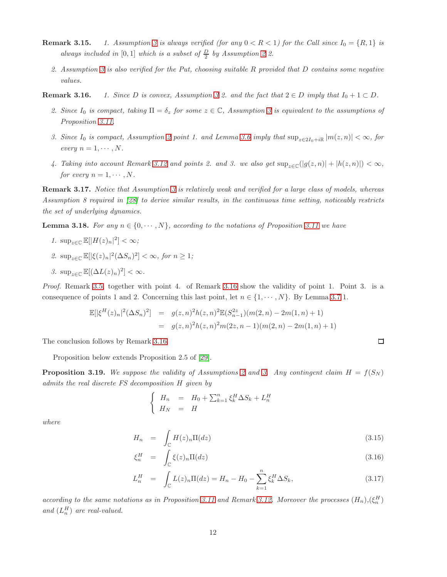- **Remark 3.15.** 1. Assumption 3 is always verified (for any  $0 < R < 1$ ) for the Call since  $I_0 = \{R, 1\}$  is always included in [0,1] which is a subset of  $\frac{D}{2}$  by Assumption 2 2.
	- 2. Assumption 3 is also verified for the Put, choosing suitable R provided that D contains some negative values.

**Remark 3.16.** 1. Since D is convex, Assumption 3 2. and the fact that  $2 \in D$  imply that  $I_0 + 1 \subset D$ .

- 2. Since  $I_0$  is compact, taking  $\Pi = \delta_z$  for some  $z \in \mathbb{C}$ , Assumption 3 is equivalent to the assumptions of Proposition [3.11.](#page-9-0)
- 3. Since I<sub>0</sub> is compact, Assumption 2 point 1. and Lemma [3.6](#page-8-3) imply that  $\sup_{z\in 2I_0+i\mathbb{R}} |m(z,n)| < \infty$ , for every  $n = 1, \cdots, N$ .
- 4. Taking into account Remark 3.12 and points 2. and 3. we also get  $\sup_{z\in\mathbb{C}}(|g(z,n)|+|h(z,n)|)<\infty$ , for every  $n = 1, \cdots, N$ .

Remark 3.17. Notice that Assumption 3 is relatively weak and verified for a large class of models, whereas Assumption 8 required in [\[28\]](#page-31-7) to derive similar results, in the continuous time setting, noticeably restricts the set of underlying dynamics.

<span id="page-12-0"></span>**Lemma 3.18.** For any  $n \in \{0, \dots, N\}$ , according to the notations of Proposition [3.11](#page-9-0) we have

1.  $\sup_{z \in \mathbb{C}} \mathbb{E}[|H(z)_n|^2] < \infty$ ; 2.  $\sup_{z \in \mathbb{C}} \mathbb{E}[\vert \xi(z)_n \vert^2 (\Delta S_n)^2] < \infty$ , for  $n \geq 1$ ; 3.  $\sup_{z \in \mathbb{C}} \mathbb{E}[(\Delta L(z)_n)^2] < \infty$ .

Proof. Remark [3.5,](#page-8-4) together with point 4. of Remark 3.16 show the validity of point 1. Point 3. is a consequence of points 1 and 2. Concerning this last point, let  $n \in \{1, \dots, N\}$ . By Lemma [3.7](#page-8-0) 1.

$$
\mathbb{E}[\left|\xi^H(z)_n\right|^2(\Delta S_n)^2] = g(z,n)^2 h(z,n)^2 \mathbb{E}(S_{n-1}^{2z})(m(2,n) - 2m(1,n) + 1)
$$
  
=  $g(z,n)^2 h(z,n)^2 m(2z,n-1)(m(2,n) - 2m(1,n) + 1)$ 

The conclusion follows by Remark 3.16.

Proposition below extends Proposition 2.5 of [\[29\]](#page-31-4).

<span id="page-12-1"></span>**Proposition 3.19.** We suppose the validity of Assumptions 2 and 3. Any contingent claim  $H = f(S_N)$ admits the real discrete FS decomposition H given by

$$
\begin{cases}\nH_n = H_0 + \sum_{k=1}^n \xi_k^H \Delta S_k + L_n^H \\
H_N = H\n\end{cases}
$$

where

$$
H_n = \int_{\mathbb{C}} H(z)_n \Pi(dz) \tag{3.15}
$$

 $\Box$ 

$$
\xi_n^H = \int_{\mathbb{C}} \xi(z)_n \Pi(dz) \tag{3.16}
$$

$$
L_n^H = \int_{\mathbb{C}} L(z)_n \Pi(dz) = H_n - H_0 - \sum_{k=1}^n \xi_k^H \Delta S_k,
$$
\n(3.17)

according to the same notations as in Proposition [3.11](#page-9-0) and Remark 3.12. Moreover the processes  $(H_n), (\xi_n^H)$ and  $(L_n^H)$  are real-valued.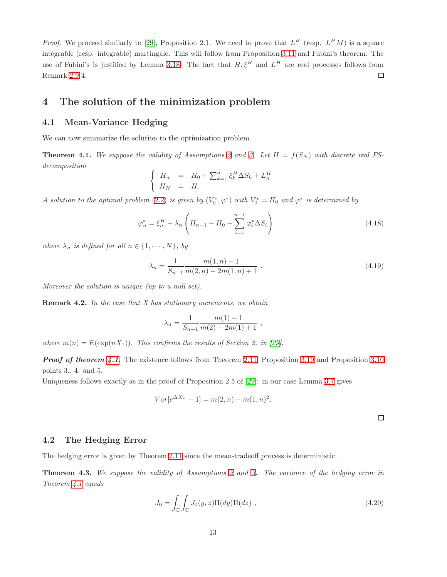*Proof.* We proceed similarly to [\[29\]](#page-31-4), Proposition 2.1. We need to prove that  $L^H$  (resp.  $L^HM$ ) is a square integrable (resp. integrable) martingale. This will follow from Proposition [3.11](#page-9-0) and Fubini's theorem. The use of Fubini's is justified by Lemma [3.18.](#page-12-0) The fact that  $H, \xi^H$  and  $L^H$  are real processes follows from Remark 2.9 4.  $\Box$ 

## 4 The solution of the minimization problem

#### 4.1 Mean-Variance Hedging

We can now summarize the solution to the optimization problem.

<span id="page-13-0"></span>**Theorem 4.1.** We suppose the validity of Assumptions 2 and 3. Let  $H = f(S_N)$  with discrete real FSdecomposition

$$
\begin{cases}\nH_n = H_0 + \sum_{k=1}^n \xi_k^H \Delta S_k + L_n^H \\
H_N = H.\n\end{cases}
$$

A solution to the optimal problem (2.[2\)](#page-5-1) is given by  $(V_0^*, \varphi^*)$  with  $V_0^* = H_0$  and  $\varphi^*$  is determined by

$$
\varphi_n^* = \xi_n^H + \lambda_n \left( H_{n-1} - H_0 - \sum_{i=1}^{n-1} \varphi_i^* \Delta S_i \right)
$$
\n(4.18)

where  $\lambda_n$  is defined for all  $n \in \{1, \dots, N\}$ , by

$$
\lambda_n = \frac{1}{S_{n-1}} \frac{m(1, n) - 1}{m(2, n) - 2m(1, n) + 1} \tag{4.19}
$$

Moreover the solution is unique (up to a null set).

**Remark 4.2.** In the case that  $X$  has stationary increments, we obtain

$$
\lambda_n = \frac{1}{S_{n-1}} \frac{m(1) - 1}{m(2) - 2m(1) + 1} ,
$$

where  $m(n) = E(\exp(nX_1))$ . This confirms the results of Section 2. in [\[29\]](#page-31-4).

**Proof of theorem [4.1](#page-13-0).** The existence follows from Theorem [2.11,](#page-7-1) Proposition [3.19](#page-12-1) and Proposition [3.10](#page-8-2) points 3., 4. and 5.

Uniqueness follows exactly as in the proof of Proposition 2.5 of [\[29\]](#page-31-4): in our case Lemma [3.7](#page-8-0) gives

$$
Var[e^{\Delta X_n} - 1] = m(2, n) - m(1, n)^2.
$$

 $\Box$ 

#### 4.2 The Hedging Error

The hedging error is given by Theorem [2.11](#page-7-1) since the mean-tradeoff process is deterministic.

<span id="page-13-1"></span>Theorem 4.3. We suppose the validity of Assumptions 2 and 3. The variance of the hedging error in Theorem [4.1](#page-13-0) equals

<span id="page-13-2"></span>
$$
J_0 = \int_{\mathbb{C}} \int_{\mathbb{C}} J_0(y, z) \Pi(dy) \Pi(dz) , \qquad (4.20)
$$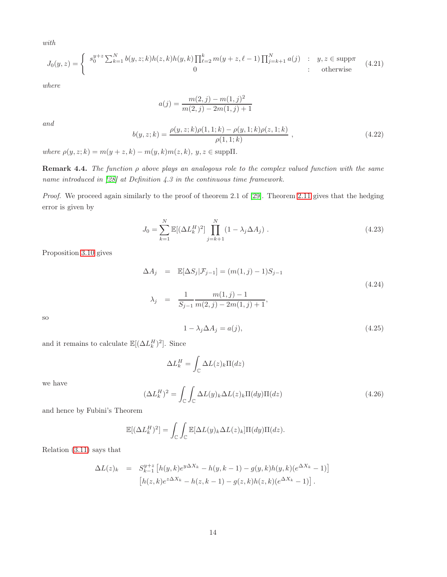with

<span id="page-14-3"></span>
$$
J_0(y, z) = \begin{cases} s_0^{y+z} \sum_{k=1}^N b(y, z; k) h(z, k) h(y, k) \prod_{\ell=2}^k m(y+z, \ell-1) \prod_{j=k+1}^N a(j) & : y, z \in \text{supp}\pi \\ 0 & : \text{otherwise} \end{cases}
$$
(4.21)

where

$$
a(j) = \frac{m(2,j) - m(1,j)^2}{m(2,j) - 2m(1,j) + 1}
$$

and

$$
b(y, z; k) = \frac{\rho(y, z; k)\rho(1, 1; k) - \rho(y, 1; k)\rho(z, 1; k)}{\rho(1, 1; k)},
$$
\n(4.22)

where  $\rho(y, z; k) = m(y + z, k) - m(y, k)m(z, k), y, z \in \text{supp}\Pi$ .

**Remark 4.4.** The function  $\rho$  above plays an analogous role to the complex valued function with the same name introduced in [\[28\]](#page-31-7) at Definition 4.3 in the continuous time framework.

Proof. We proceed again similarly to the proof of theorem 2.1 of [\[29\]](#page-31-4). Theorem [2.11](#page-7-1) gives that the hedging error is given by

$$
J_0 = \sum_{k=1}^{N} \mathbb{E}[(\Delta L_k^H)^2] \prod_{j=k+1}^{N} (1 - \lambda_j \Delta A_j).
$$
 (4.23)

Proposition [3.10](#page-8-2) gives

<span id="page-14-0"></span>
$$
\Delta A_j = \mathbb{E}[\Delta S_j | \mathcal{F}_{j-1}] = (m(1, j) - 1)S_{j-1}
$$
  
\n
$$
\lambda_j = \frac{1}{S_{j-1}} \frac{m(1, j) - 1}{m(2, j) - 2m(1, j) + 1},
$$
\n(4.24)

so

we have

<span id="page-14-1"></span>
$$
1 - \lambda_j \Delta A_j = a(j),\tag{4.25}
$$

and it remains to calculate  $\mathbb{E}[(\Delta L_k^H)^2]$ . Since

<span id="page-14-2"></span>
$$
\Delta L_k^H = \int_{\mathbb{C}} \Delta L(z)_k \Pi(dz)
$$
  

$$
(\Delta L_k^H)^2 = \int_{\mathbb{C}} \int_{\mathbb{C}} \Delta L(y)_k \Delta L(z)_k \Pi(dy) \Pi(dz)
$$
(4.26)

and hence by Fubini's Theorem

$$
\mathbb{E}[(\Delta L_k^H)^2] = \int_{\mathbb{C}} \int_{\mathbb{C}} \mathbb{E}[\Delta L(y)_k \Delta L(z)_k] \Pi(dy) \Pi(dz).
$$

Relation [\(3.11\)](#page-10-1) says that

$$
\Delta L(z)_k = S_{k-1}^{y+z} \left[ h(y,k)e^{y\Delta X_k} - h(y,k-1) - g(y,k)h(y,k)(e^{\Delta X_k} - 1) \right]
$$

$$
\left[ h(z,k)e^{z\Delta X_k} - h(z,k-1) - g(z,k)h(z,k)(e^{\Delta X_k} - 1) \right].
$$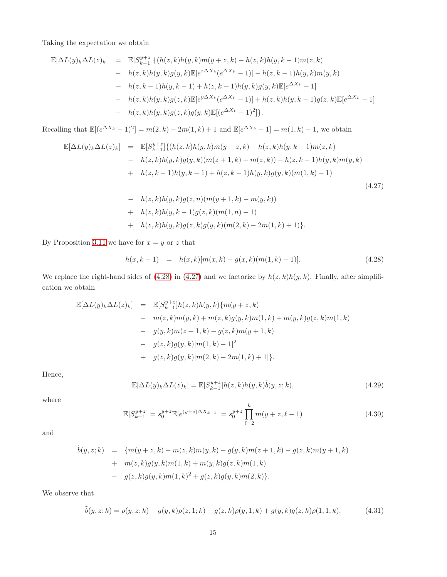Taking the expectation we obtain

$$
\mathbb{E}[\Delta L(y)_k \Delta L(z)_k] = \mathbb{E}[S_{k-1}^{y+z}] \{ (h(z,k)h(y,k)m(y+z,k) - h(z,k)h(y,k-1)m(z,k) - h(z,k)h(y,k)g(y,k)\mathbb{E}[e^{z\Delta X_k}(e^{\Delta X_k} - 1)] - h(z,k-1)h(y,k)m(y,k) + h(z,k-1)h(y,k-1) + h(z,k-1)h(y,k)g(y,k)\mathbb{E}[e^{\Delta X_k} - 1] - h(z,k)h(y,k)g(z,k)\mathbb{E}[e^{y\Delta X_k}(e^{\Delta X_k} - 1)] + h(z,k)h(y,k-1)g(z,k)\mathbb{E}[e^{\Delta X_k} - 1] + h(z,k)h(y,k)g(z,k)g(y,k)\mathbb{E}[(e^{\Delta X_k} - 1)^2] \}.
$$

Recalling that  $\mathbb{E}[(e^{\Delta X_k} - 1)^2] = m(2, k) - 2m(1, k) + 1$  and  $\mathbb{E}[e^{\Delta X_k} - 1] = m(1, k) - 1$ , we obtain

<span id="page-15-1"></span>
$$
\mathbb{E}[\Delta L(y)_k \Delta L(z)_k] = \mathbb{E}[S_{k-1}^{y+z}] \{ (h(z,k)h(y,k)m(y+z,k) - h(z,k)h(y,k-1)m(z,k) - h(z,k)h(y,k)g(y,k)(m(z+1,k) - m(z,k)) - h(z,k-1)h(y,k)m(y,k) + h(z,k-1)h(y,k-1) + h(z,k-1)h(y,k)g(y,k)(m(1,k) - 1) - h(z,k)h(y,k)g(z,n)(m(y+1,k) - m(y,k))
$$
\n(4.27)

+ 
$$
h(z,k)h(y, k-1)g(z,k)(m(1, n) - 1)
$$
  
+  $h(z,k)h(y,k)g(z,k)g(y,k)(m(2,k) - 2m(1,k) + 1)$ .

By Proposition [3.11](#page-9-0) we have for  $x = y$  or z that

<span id="page-15-0"></span>
$$
h(x,k-1) = h(x,k)[m(x,k) - g(x,k)(m(1,k) - 1)].
$$
\n(4.28)

We replace the right-hand sides of [\(4.28\)](#page-15-0) in [\(4.27\)](#page-15-1) and we factorize by  $h(z, k)h(y, k)$ . Finally, after simplification we obtain

$$
\mathbb{E}[\Delta L(y)_k \Delta L(z)_k] = \mathbb{E}[S_{k-1}^{y+z}]h(z,k)h(y,k)\{m(y+z,k) - m(z,k)m(y,k) + m(z,k)g(y,k)m(1,k) + m(y,k)g(z,k)m(1,k) - g(y,k)m(z+1,k) - g(z,k)m(y+1,k) - g(z,k)g(y,k)[m(1,k) - 1]^2 + g(z,k)g(y,k)[m(2,k) - 2m(1,k) + 1]\}.
$$

Hence,

<span id="page-15-2"></span>
$$
\mathbb{E}[\Delta L(y)_k \Delta L(z)_k] = \mathbb{E}[S_{k-1}^{y+z}]h(z,k)h(y,k)\tilde{b}(y,z;k),\tag{4.29}
$$

where

<span id="page-15-3"></span>
$$
\mathbb{E}[S_{k-1}^{y+z}] = s_0^{y+z} \mathbb{E}[e^{(y+z)\Delta X_{k-1}}] = s_0^{y+z} \prod_{\ell=2}^k m(y+z,\ell-1)
$$
 (4.30)

and

$$
\tilde{b}(y, z; k) = \{m(y + z, k) - m(z, k)m(y, k) - g(y, k)m(z + 1, k) - g(z, k)m(y + 1, k) + m(z, k)g(y, k)m(1, k) + m(y, k)g(z, k)m(1, k) - g(z, k)g(y, k)m(1, k)^2 + g(z, k)g(y, k)m(2, k)\}.
$$

We observe that

<span id="page-15-4"></span>
$$
\tilde{b}(y, z; k) = \rho(y, z; k) - g(y, k)\rho(z, 1; k) - g(z, k)\rho(y, 1; k) + g(y, k)g(z, k)\rho(1, 1; k).
$$
\n(4.31)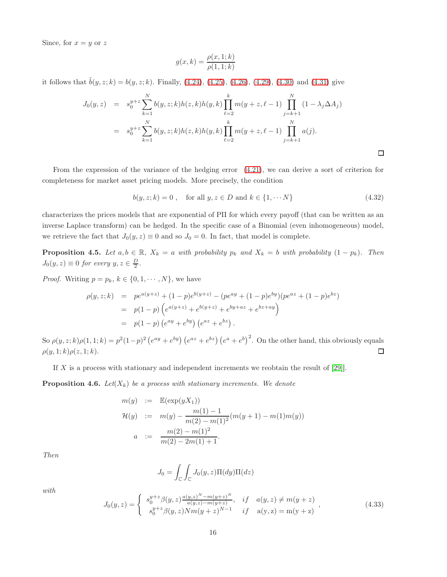Since, for  $x = y$  or z

$$
g(x,k) = \frac{\rho(x,1;k)}{\rho(1,1;k)}
$$

it follows that  $\tilde{b}(y, z; k) = b(y, z; k)$ . Finally, [\(4.24\)](#page-14-0), [\(4.25\)](#page-14-1), [\(4.26\)](#page-14-2), [\(4.29\)](#page-15-2), [\(4.30\)](#page-15-3) and [\(4.31\)](#page-15-4) give

$$
J_0(y, z) = s_0^{y+z} \sum_{k=1}^N b(y, z; k) h(z, k) h(y, k) \prod_{\ell=2}^k m(y + z, \ell - 1) \prod_{j=k+1}^N (1 - \lambda_j \Delta A_j)
$$
  
= 
$$
s_0^{y+z} \sum_{k=1}^N b(y, z; k) h(z, k) h(y, k) \prod_{\ell=2}^k m(y + z, \ell - 1) \prod_{j=k+1}^N a(j).
$$

From the expression of the variance of the hedging error [\(4.21\)](#page-14-3), we can derive a sort of criterion for completeness for market asset pricing models. More precisely, the condition

 $b(y, z; k) = 0$ , for all  $y, z \in D$  and  $k \in \{1, \dots N\}$  (4.32)

 $\Box$ 

characterizes the prices models that are exponential of PII for which every payoff (that can be written as an inverse Laplace transform) can be hedged. In the specific case of a Binomial (even inhomogeneous) model, we retrieve the fact that  $J_0(y, z) \equiv 0$  and so  $J_0 = 0$ . In fact, that model is complete.

<span id="page-16-0"></span>**Proposition 4.5.** Let  $a, b \in \mathbb{R}$ ,  $X_k = a$  with probability  $p_k$  and  $X_k = b$  with probability  $(1 - p_k)$ . Then  $J_0(y, z) \equiv 0$  for every  $y, z \in \frac{D}{2}$ .

*Proof.* Writing  $p = p_k, k \in \{0, 1, \dots, N\}$ , we have

$$
\rho(y, z; k) = p e^{a(y+z)} + (1-p)e^{b(y+z)} - (p e^{ay} + (1-p)e^{by})(p e^{az} + (1-p)e^{bz})
$$
  
=  $p(1-p) (e^{a(y+z)} + e^{b(y+z)} + e^{by+az} + e^{bz+ay})$   
=  $p(1-p) (e^{ay} + e^{by}) (e^{az} + e^{bz}).$ 

So  $\rho(y, z; k) \rho(1, 1; k) = p^2 (1-p)^2 (e^{ay} + e^{by}) (e^{az} + e^{bz}) (e^a + e^b)^2$ . On the other hand, this obviously equals  $\rho(y, 1; k) \rho(z, 1; k).$  $\Box$ 

If X is a process with stationary and independent increments we reobtain the result of  $[29]$ .

**Proposition 4.6.** Let  $(X_k)$  be a process with stationary increments. We denote

$$
m(y) := \mathbb{E}(\exp(yX_1))
$$
  
\n
$$
\mathcal{H}(y) := m(y) - \frac{m(1) - 1}{m(2) - m(1)^2} (m(y+1) - m(1)m(y))
$$
  
\n
$$
a := \frac{m(2) - m(1)^2}{m(2) - 2m(1) + 1}.
$$

Then

$$
J_0 = \int_{\mathbb{C}} \int_{\mathbb{C}} J_0(y, z) \Pi(dy) \Pi(dz)
$$

with

$$
J_0(y, z) = \begin{cases} s_0^{y+z} \beta(y, z) \frac{a(y, z)^N - m(y + z)^N}{a(y, z) - m(y + z)}, & if \quad a(y, z) \neq m(y + z) \\ s_0^{y+z} \beta(y, z) N m(y + z)^{N-1} & if \quad a(y, z) = m(y + z) \end{cases},
$$
(4.33)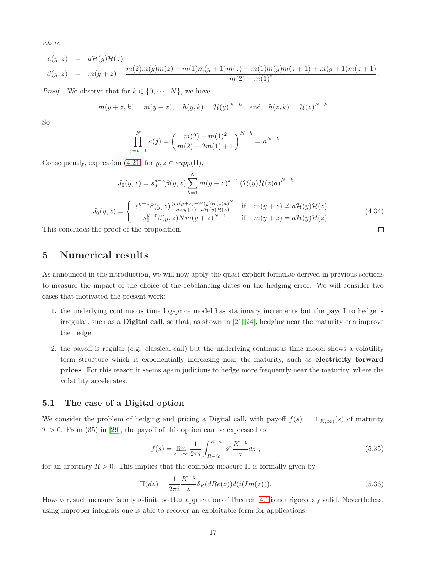where

$$
a(y, z) = a\mathcal{H}(y)\mathcal{H}(z),
$$
  
\n
$$
\beta(y, z) = m(y + z) - \frac{m(2)m(y)m(z) - m(1)m(y + 1)m(z) - m(1)m(y)m(z + 1) + m(y + 1)m(z + 1)}{m(2) - m(1)^2}.
$$

*Proof.* We observe that for  $k \in \{0, \dots, N\}$ , we have

$$
m(y + z, k) = m(y + z),
$$
  $h(y, k) = \mathcal{H}(y)^{N-k}$  and  $h(z, k) = \mathcal{H}(z)^{N-k}$ 

So

$$
\prod_{j=k+1}^{N} a(j) = \left(\frac{m(2) - m(1)^2}{m(2) - 2m(1) + 1}\right)^{N-k} = a^{N-k}.
$$

Consequently, expression [\(4.21\)](#page-14-3) for  $y, z \in supp(\Pi)$ ,

$$
J_0(y, z) = s_0^{y+z} \beta(y, z) \sum_{k=1}^N m(y+z)^{k-1} \left(\mathcal{H}(y)\mathcal{H}(z)a\right)^{N-k}
$$
  
\n
$$
J_0(y, z) = \begin{cases} s_0^{y+z} \beta(y, z) \frac{(m(y+z) - \mathcal{H}(y)\mathcal{H}(z)a)^N}{m(y+z) - a\mathcal{H}(y)\mathcal{H}(z)} & \text{if } m(y+z) \neq a\mathcal{H}(y)\mathcal{H}(z) \\ s_0^{y+z} \beta(y, z) N m (y+z)^{N-1} & \text{if } m(y+z) = a\mathcal{H}(y)\mathcal{H}(z) \end{cases}
$$
\n(4.34)

\nthe proof of the proposition.

This concludes the proof of the proposition.

## 5 Numerical results

As announced in the introduction, we will now apply the quasi-explicit formulae derived in previous sections to measure the impact of the choice of the rebalancing dates on the hedging error. We will consider two cases that motivated the present work:

- 1. the underlying continuous time log-price model has stationary increments but the payoff to hedge is irregular, such as a Digital call, so that, as shown in [\[21,](#page-30-11) [24\]](#page-30-14), hedging near the maturity can improve the hedge;
- 2. the payoff is regular (e.g. classical call) but the underlying continuous time model shows a volatility term structure which is exponentially increasing near the maturity, such as electricity forward prices. For this reason it seems again judicious to hedge more frequently near the maturity, where the volatility accelerates.

#### 5.1 The case of a Digital option

We consider the problem of hedging and pricing a Digital call, with payoff  $f(s) = \mathbf{1}_{[K,\infty)}(s)$  of maturity  $T > 0$ . From (35) in [\[29\]](#page-31-4), the payoff of this option can be expressed as

$$
f(s) = \lim_{c \to \infty} \frac{1}{2\pi i} \int_{R-ic}^{R+ic} s^z \frac{K^{-z}}{z} dz ,
$$
 (5.35)

for an arbitrary  $R > 0$ . This implies that the complex measure  $\Pi$  is formally given by

$$
\Pi(dz) = \frac{1}{2\pi i} \frac{K^{-z}}{z} \delta_R(dRe(z)) d(i(Im(z))).
$$
\n(5.36)

However, such measure is only σ-finite so that application of Theorem [4.1](#page-13-0) is not rigorously valid. Nevertheless, using improper integrals one is able to recover an exploitable form for applications.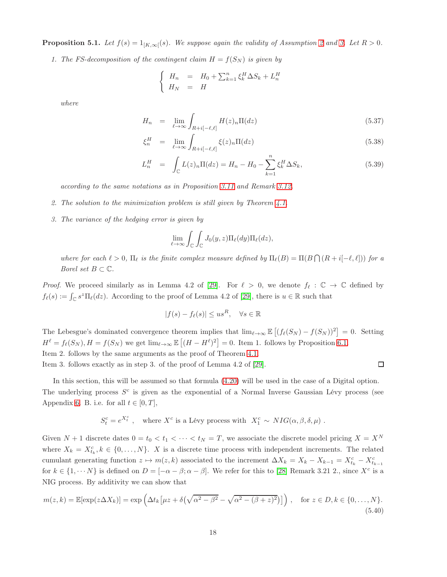**Proposition 5.1.** Let  $f(s) = 1_{[K,\infty]}(s)$ . We suppose again the validity of Assumption 2 and 3. Let  $R > 0$ .

1. The FS-decomposition of the contingent claim  $H = f(S_N)$  is given by

$$
\begin{cases}\nH_n = H_0 + \sum_{k=1}^n \xi_k^H \Delta S_k + L_n^H \\
H_N = H\n\end{cases}
$$

where

$$
H_n = \lim_{\ell \to \infty} \int_{R+i[-\ell,\ell]} H(z)_n \Pi(dz) \tag{5.37}
$$

$$
\xi_n^H = \lim_{\ell \to \infty} \int_{R+i[-\ell,\ell]} \xi(z)_n \Pi(dz) \tag{5.38}
$$

$$
L_n^H = \int_{\mathbb{C}} L(z)_n \Pi(dz) = H_n - H_0 - \sum_{k=1}^n \xi_k^H \Delta S_k,
$$
\n(5.39)

according to the same notations as in Proposition [3.11](#page-9-0) and Remark 3.12.

- 2. The solution to the minimization problem is still given by Theorem [4.1.](#page-13-0)
- 3. The variance of the hedging error is given by

$$
\lim_{\ell \to \infty} \int_{\mathbb{C}} \int_{\mathbb{C}} J_0(y, z) \Pi_{\ell}(dy) \Pi_{\ell}(dz),
$$

where for each  $\ell > 0$ ,  $\Pi_{\ell}$  is the finite complex measure defined by  $\Pi_{\ell}(B) = \Pi(B \cap (R + i[-\ell, \ell]))$  for a *Borel set*  $B \subset \mathbb{C}$ .

*Proof.* We proceed similarly as in Lemma 4.2 of [\[29\]](#page-31-4). For  $\ell > 0$ , we denote  $f_{\ell} : \mathbb{C} \to \mathbb{C}$  defined by  $f_{\ell}(s) := \int_{\mathbb{C}} s^z \Pi_{\ell}(dz)$ . According to the proof of Lemma 4.2 of [\[29\]](#page-31-4), there is  $u \in \mathbb{R}$  such that

$$
|f(s) - f_{\ell}(s)| \le us^R, \quad \forall s \in \mathbb{R}
$$

The Lebesgue's dominated convergence theorem implies that  $\lim_{\ell \to \infty} \mathbb{E} \left[ (f_{\ell}(S_N) - f(S_N))^2 \right] = 0$ . Setting  $H^{\ell} = f_{\ell}(S_N), H = f(S_N)$  we get  $\lim_{\ell \to \infty} \mathbb{E} \left[ (H - H^{\ell})^2 \right] = 0$ . Item 1. follows by Proposition [6.1.](#page-27-0) Item 2. follows by the same arguments as the proof of Theorem [4.1.](#page-13-0)

Item 3. follows exactly as in step 3. of the proof of Lemma 4.2 of [\[29\]](#page-31-4).

$$
\Box
$$

In this section, this will be assumed so that formula [\(4.20\)](#page-13-2) will be used in the case of a Digital option. The underlying process  $S<sup>c</sup>$  is given as the exponential of a Normal Inverse Gaussian Lévy process (see Appendix [6.](#page-28-0) B. i.e. for all  $t \in [0, T]$ ,

$$
S_t^c = e^{X_t^c} , \quad \text{where } X^c \text{ is a Lévy process with } X_1^c \sim NIG(\alpha, \beta, \delta, \mu) .
$$

Given  $N + 1$  discrete dates  $0 = t_0 < t_1 < \cdots < t_N = T$ , we associate the discrete model pricing  $X = X^N$ where  $X_k = X_{t_k}^c, k \in \{0, ..., N\}$ . X is a discrete time process with independent increments. The related cumulant generating function  $z \mapsto m(z, k)$  associated to the increment  $\Delta X_k = X_k - X_{k-1} = X_{t_k}^c - X_{t_{k-1}}^c$ for  $k \in \{1, \dots N\}$  is defined on  $D = [-\alpha - \beta; \alpha - \beta]$ . We refer for this to [\[28\]](#page-31-7) Remark 3.21 2., since  $X^c$  is a NIG process. By additivity we can show that

$$
m(z,k) = \mathbb{E}[\exp(z\Delta X_k)] = \exp\left(\Delta t_k \left[\mu z + \delta\left(\sqrt{\alpha^2 - \beta^2} - \sqrt{\alpha^2 - (\beta + z)^2}\right)\right]\right), \quad \text{for } z \in D, k \in \{0, \dots, N\}.
$$
\n(5.40)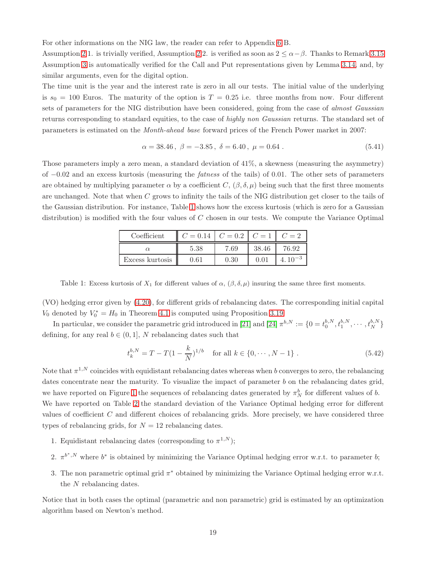For other informations on the NIG law, the reader can refer to Appendix [6](#page-28-0) B.

Assumption 2 1. is trivially verified, Assumption 2 2. is verified as soon as  $2 \le \alpha - \beta$ . Thanks to Remark 3.15 Assumption 3 is automatically verified for the Call and Put representations given by Lemma [3.14,](#page-11-1) and, by similar arguments, even for the digital option.

The time unit is the year and the interest rate is zero in all our tests. The initial value of the underlying is  $s_0 = 100$  Euros. The maturity of the option is  $T = 0.25$  i.e. three months from now. Four different sets of parameters for the NIG distribution have been considered, going from the case of almost Gaussian returns corresponding to standard equities, to the case of highly non Gaussian returns. The standard set of parameters is estimated on the Month-ahead base forward prices of the French Power market in 2007:

$$
\alpha = 38.46, \ \beta = -3.85, \ \delta = 6.40, \ \mu = 0.64 \ . \tag{5.41}
$$

Those parameters imply a zero mean, a standard deviation of 41%, a skewness (measuring the asymmetry) of −0.02 and an excess kurtosis (measuring the fatness of the tails) of 0.01. The other sets of parameters are obtained by multiplying parameter  $\alpha$  by a coefficient  $C$ ,  $(\beta, \delta, \mu)$  being such that the first three moments are unchanged. Note that when C grows to infinity the tails of the NIG distribution get closer to the tails of the Gaussian distribution. For instance, Table [1](#page-19-0) shows how the excess kurtosis (which is zero for a Gaussian distribution) is modified with the four values of  $C$  chosen in our tests. We compute the Variance Optimal

| Coefficient     |      | $C = 0.2$ | $C=1$ |  |
|-----------------|------|-----------|-------|--|
|                 | 5.38 | 7.69      | 38.46 |  |
| Excess kurtosis |      | $0.30\,$  |       |  |

<span id="page-19-0"></span>Table 1: Excess kurtosis of  $X_1$  for different values of  $\alpha$ ,  $(\beta, \delta, \mu)$  insuring the same three first moments.

(VO) hedging error given by [\(4.20\)](#page-13-2), for different grids of rebalancing dates. The corresponding initial capital  $V_0$  denoted by  $V_0^* = H_0$  in Theorem [4.1](#page-13-0) is computed using Proposition [3.19.](#page-12-1)

In particular, we consider the parametric grid introduced in [\[21\]](#page-30-11) and [\[24\]](#page-30-14)  $\pi^{b,N} := \{0 = t_0^{b,N}, t_1^{b,N}, \cdots, t_N^{b,N}\}$ defining, for any real  $b \in (0, 1]$ , N rebalancing dates such that

<span id="page-19-1"></span>
$$
t_k^{b,N} = T - T(1 - \frac{k}{N})^{1/b} \quad \text{for all } k \in \{0, \cdots, N - 1\}.
$$
 (5.42)

Note that  $\pi^{1,N}$  coincides with equidistant rebalancing dates whereas when b converges to zero, the rebalancing dates concentrate near the maturity. To visualize the impact of parameter b on the rebalancing dates grid, we have reported on Figure [1](#page-20-1) the sequences of rebalancing dates generated by  $\pi_N^b$  for different values of b. We have reported on Table [2](#page-21-0) the standard deviation of the Variance Optimal hedging error for different values of coefficient C and different choices of rebalancing grids. More precisely, we have considered three types of rebalancing grids, for  $N = 12$  rebalancing dates.

- 1. Equidistant rebalancing dates (corresponding to  $\pi^{1,N}$ );
- 2.  $\pi^{b^*,N}$  where  $b^*$  is obtained by minimizing the Variance Optimal hedging error w.r.t. to parameter b;
- 3. The non parametric optimal grid  $\pi^*$  obtained by minimizing the Variance Optimal hedging error w.r.t. the N rebalancing dates.

Notice that in both cases the optimal (parametric and non parametric) grid is estimated by an optimization algorithm based on Newton's method.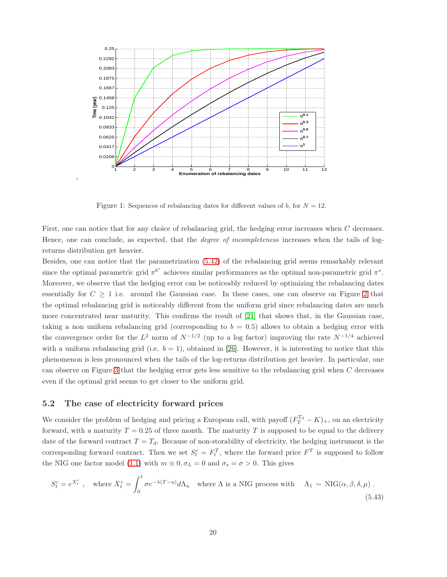

<span id="page-20-1"></span>Figure 1: Sequences of rebalancing dates for different values of b, for  $N = 12$ .

First, one can notice that for any choice of rebalancing grid, the hedging error increases when C decreases. Hence, one can conclude, as expected, that the *degree of incompleteness* increases when the tails of logreturns distribution get heavier.

Besides, one can notice that the parametrization [\(5.42\)](#page-19-1) of the rebalancing grid seems remarkably relevant since the optimal parametric grid  $\pi^{b^*}$  achieves similar performances as the optimal non-parametric grid  $\pi^*$ . Moreover, we observe that the hedging error can be noticeably reduced by optimizing the rebalancing dates essentially for  $C \geq 1$  i.e. around the Gaussian case. In these cases, one can observe on Figure [2](#page-21-1) that the optimal rebalancing grid is noticeably different from the uniform grid since rebalancing dates are much more concentrated near maturity. This confirms the result of [\[21\]](#page-30-11) that shows that, in the Gaussian case, taking a non uniform rebalancing grid (corresponding to  $b = 0.5$ ) allows to obtain a hedging error with the convergence order for the  $L^2$  norm of  $N^{-1/2}$  (up to a log factor) improving the rate  $N^{-1/4}$  achieved with a uniform rebalancing grid (i.e.  $b = 1$ ), obtained in [\[26\]](#page-31-12). However, it is interesting to notice that this phenomenon is less pronounced when the tails of the log-returns distribution get heavier. In particular, one can observe on Figure [3](#page-22-0) that the hedging error gets less sensitive to the rebalancing grid when C decreases even if the optimal grid seems to get closer to the uniform grid.

#### <span id="page-20-0"></span>5.2 The case of electricity forward prices

We consider the problem of hedging and pricing a European call, with payoff  $(F_T^{T_d} - K)_+$ , on an electricity forward, with a maturity  $T = 0.25$  of three month. The maturity T is supposed to be equal to the delivery date of the forward contract  $T = T_d$ . Because of non-storability of electricity, the hedging instrument is the corresponding forward contract. Then we set  $S_t^c = F_t^T$ , where the forward price  $F^T$  is supposed to follow the NIG one factor model [\(1.1\)](#page-3-0) with  $m \equiv 0, \sigma_L = 0$  and  $\sigma_s = \sigma > 0$ . This gives

<span id="page-20-2"></span>
$$
S_t^c = e^{X_t^c}, \quad \text{where } X_t^c = \int_0^t \sigma e^{-\lambda (T - u)} d\Lambda_u \quad \text{where } \Lambda \text{ is a NIG process with } \Lambda_1 \sim \text{NIG}(\alpha, \beta, \delta, \mu) \tag{5.43}
$$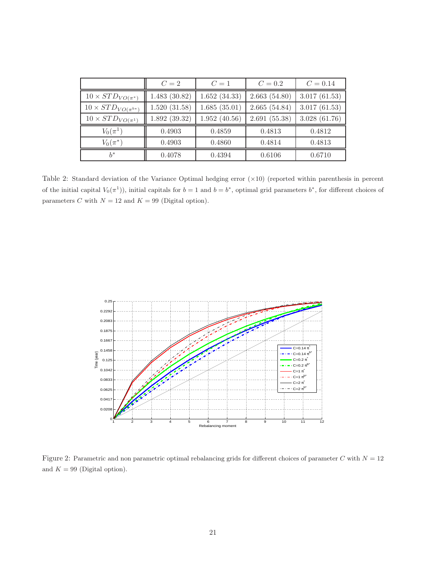|                                | $C=2$        | $C=1$        | $C = 0.2$    | $C = 0.14$   |
|--------------------------------|--------------|--------------|--------------|--------------|
| $10 \times STD_{VO(\pi^*)}$    | 1.483(30.82) | 1.652(34.33) | 2.663(54.80) | 3.017(61.53) |
| $10 \times STD_{VO(\pi^{b*})}$ | 1.520(31.58) | 1.685(35.01) | 2.665(54.84) | 3.017(61.53) |
| $10 \times STD_{VO(\pi^1)}$    | 1.892(39.32) | 1.952(40.56) | 2.691(55.38) | 3.028(61.76) |
| $V_0(\pi^1)$                   | 0.4903       | 0.4859       | 0.4813       | 0.4812       |
| $V_0(\pi^*)$                   | 0.4903       | 0.4860       | 0.4814       | 0.4813       |
| $h^*$                          | 0.4078       | 0.4394       | 0.6106       | 0.6710       |

<span id="page-21-0"></span>Table 2: Standard deviation of the Variance Optimal hedging error (×10) (reported within parenthesis in percent of the initial capital  $V_0(\pi^1)$ , initial capitals for  $b=1$  and  $b=b^*$ , optimal grid parameters  $b^*$ , for different choices of parameters C with  $N = 12$  and  $K = 99$  (Digital option).



<span id="page-21-1"></span>Figure 2: Parametric and non parametric optimal rebalancing grids for different choices of parameter C with  $N = 12$ and  $K = 99$  (Digital option).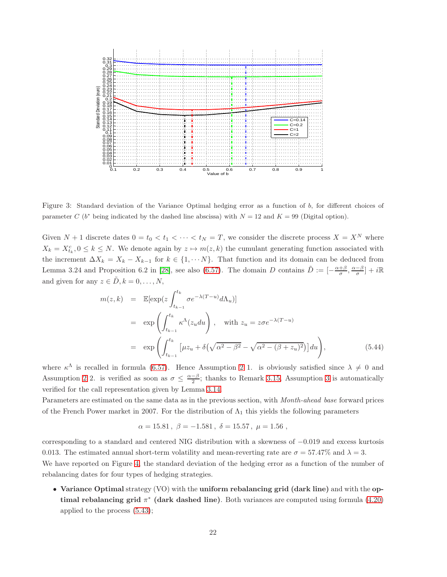

<span id="page-22-0"></span>Figure 3: Standard deviation of the Variance Optimal hedging error as a function of b, for different choices of parameter C ( $b^*$  being indicated by the dashed line abscissa) with  $N = 12$  and  $K = 99$  (Digital option).

Given  $N + 1$  discrete dates  $0 = t_0 < t_1 < \cdots < t_N = T$ , we consider the discrete process  $X = X^N$  where  $X_k = X_{t_k}^c, 0 \leq k \leq N$ . We denote again by  $z \mapsto m(z, k)$  the cumulant generating function associated with the increment  $\Delta X_k = X_k - X_{k-1}$  for  $k \in \{1, \dots N\}$ . That function and its domain can be deduced from Lemma 3.24 and Proposition 6.2 in [\[28\]](#page-31-7), see also [\(6.57\)](#page-29-5). The domain D contains  $\tilde{D} := \left[-\frac{\alpha+\beta}{\sigma}, \frac{\alpha-\beta}{\sigma}\right] + i\mathbb{R}$ and given for any  $z \in \tilde{D}$ ,  $k = 0, \ldots, N$ ,

$$
m(z,k) = \mathbb{E}[\exp(z \int_{t_{k-1}}^{t_k} \sigma e^{-\lambda (T-u)} d\Lambda_u)]
$$
  
\n
$$
= \exp\left(\int_{t_{k-1}}^{t_k} \kappa^{\Lambda}(z_u du)\right), \quad \text{with } z_u = z\sigma e^{-\lambda (T-u)}
$$
  
\n
$$
= \exp\left(\int_{t_{k-1}}^{t_k} \left[\mu z_u + \delta(\sqrt{\alpha^2 - \beta^2} - \sqrt{\alpha^2 - (\beta + z_u)^2})\right] du\right), \tag{5.44}
$$

where  $\kappa^{\Lambda}$  is recalled in formula [\(6.57\)](#page-29-5). Hence Assumption 2 1. is obviously satisfied since  $\lambda \neq 0$  and Assumption 2 2. is verified as soon as  $\sigma \leq \frac{\alpha-\beta}{2}$ ; thanks to Remark 3.15, Assumption 3 is automatically verified for the call representation given by Lemma [3.14.](#page-11-1)

Parameters are estimated on the same data as in the previous section, with Month-ahead base forward prices of the French Power market in 2007. For the distribution of  $\Lambda_1$  this yields the following parameters

$$
\alpha = 15.81 \, , \; \beta = -1.581 \, , \; \delta = 15.57 \, , \; \mu = 1.56 \; ,
$$

corresponding to a standard and centered NIG distribution with a skewness of −0.019 and excess kurtosis 0.013. The estimated annual short-term volatility and mean-reverting rate are  $\sigma = 57.47\%$  and  $\lambda = 3$ .

We have reported on Figure [4,](#page-24-0) the standard deviation of the hedging error as a function of the number of rebalancing dates for four types of hedging strategies.

• Variance Optimal strategy (VO) with the uniform rebalancing grid (dark line) and with the optimal rebalancing grid  $\pi^*$  (dark dashed line). Both variances are computed using formula [\(4.20\)](#page-13-2) applied to the process [\(5.43\)](#page-20-2);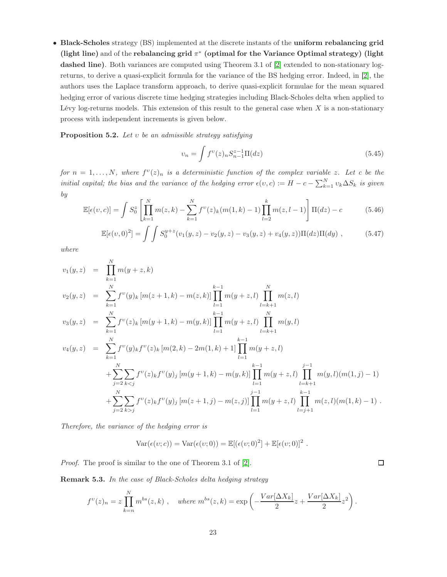• Black-Scholes strategy (BS) implemented at the discrete instants of the uniform rebalancing grid (light line) and of the rebalancing grid  $\pi^*$  (optimal for the Variance Optimal strategy) (light dashed line). Both variances are computed using Theorem 3.1 of [\[2\]](#page-29-3) extended to non-stationary logreturns, to derive a quasi-explicit formula for the variance of the BS hedging error. Indeed, in [\[2\]](#page-29-3), the authors uses the Laplace transform approach, to derive quasi-explicit formulae for the mean squared hedging error of various discrete time hedging strategies including Black-Scholes delta when applied to Lévy log-returns models. This extension of this result to the general case when  $X$  is a non-stationary process with independent increments is given below.

**Proposition 5.2.** Let  $v$  be an admissible strategy satisfying

$$
v_n = \int f^{\nu}(z)_n S_{n-1}^{z-1} \Pi(dz)
$$
\n(5.45)

for  $n = 1, ..., N$ , where  $f^{(v)}(z)_n$  is a deterministic function of the complex variable z. Let c be the initial capital; the bias and the variance of the hedging error  $\epsilon(v, c) := H - c - \sum_{k=1}^{N} v_k \Delta S_k$  is given by

<span id="page-23-0"></span>
$$
\mathbb{E}[\epsilon(v,c)] = \int S_0^z \left[ \prod_{k=1}^N m(z,k) - \sum_{k=1}^N f^v(z)_k (m(1,k) - 1) \prod_{l=2}^k m(z,l-1) \right] \Pi(dz) - c \tag{5.46}
$$

$$
\mathbb{E}[\epsilon(v,0)^2] = \int \int S_0^{y+z}(v_1(y,z) - v_2(y,z) - v_3(y,z) + v_4(y,z))\Pi(dz)\Pi(dy) , \qquad (5.47)
$$

where

$$
v_1(y, z) = \prod_{k=1}^{N} m(y + z, k)
$$
  
\n
$$
v_2(y, z) = \sum_{k=1}^{N} f^v(y)_k [m(z + 1, k) - m(z, k)] \prod_{l=1}^{k-1} m(y + z, l) \prod_{l=k+1}^{N} m(z, l)
$$
  
\n
$$
v_3(y, z) = \sum_{k=1}^{N} f^v(z)_k [m(y + 1, k) - m(y, k)] \prod_{l=1}^{k-1} m(y + z, l) \prod_{l=k+1}^{N} m(y, l)
$$
  
\n
$$
v_4(y, z) = \sum_{k=1}^{N} f^v(y)_k f^v(z)_k [m(2, k) - 2m(1, k) + 1] \prod_{l=1}^{k-1} m(y + z, l)
$$
  
\n
$$
+ \sum_{j=2}^{N} \sum_{k < j} f^v(z)_k f^v(y)_j [m(y + 1, k) - m(y, k)] \prod_{l=1}^{k-1} m(y + z, l) \prod_{l=k+1}^{j-1} m(y, l)(m(1, j) - 1)
$$
  
\n
$$
+ \sum_{j=2}^{N} \sum_{k > j} f^v(z)_k f^v(y)_j [m(z + 1, j) - m(z, j)] \prod_{l=1}^{j-1} m(y + z, l) \prod_{l=j+1}^{k-1} m(z, l)(m(1, k) - 1).
$$

Therefore, the variance of the hedging error is

$$
Var(\epsilon(v; c)) = Var(\epsilon(v; 0)) = \mathbb{E}[(\epsilon(v; 0)^2] + \mathbb{E}[\epsilon(v; 0)]^2.
$$

Proof. The proof is similar to the one of Theorem 3.1 of [\[2\]](#page-29-3).

Remark 5.3. In the case of Black-Scholes delta hedging strategy

$$
f^{\nu}(z)_n = z \prod_{k=n}^{N} m^{bs}(z, k) , \quad \text{where } m^{bs}(z, k) = \exp \left( -\frac{Var[\Delta X_k]}{2} z + \frac{Var[\Delta X_k]}{2} z^2 \right).
$$

□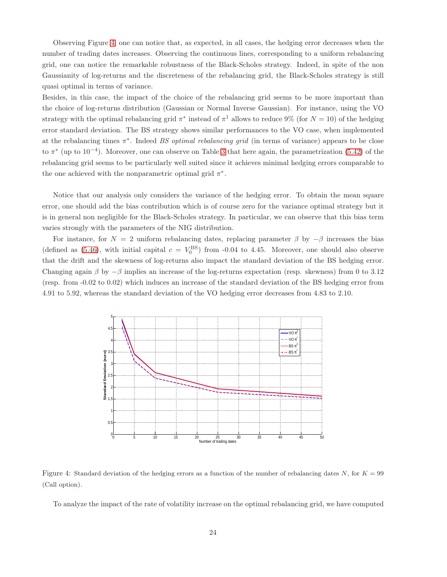Observing Figure [4,](#page-24-0) one can notice that, as expected, in all cases, the hedging error decreases when the number of trading dates increases. Observing the continuous lines, corresponding to a uniform rebalancing grid, one can notice the remarkable robustness of the Black-Scholes strategy. Indeed, in spite of the non Gaussianity of log-returns and the discreteness of the rebalancing grid, the Black-Scholes strategy is still quasi optimal in terms of variance.

Besides, in this case, the impact of the choice of the rebalancing grid seems to be more important than the choice of log-returns distribution (Gaussian or Normal Inverse Gaussian). For instance, using the VO strategy with the optimal rebalancing grid  $\pi^*$  instead of  $\pi^1$  allows to reduce 9% (for  $N = 10$ ) of the hedging error standard deviation. The BS strategy shows similar performances to the VO case, when implemented at the rebalancing times  $\pi^*$ . Indeed BS optimal rebalancing grid (in terms of variance) appears to be close to  $\pi^*$  (up to 10<sup>-4</sup>). Moreover, one can observe on Table [3](#page-25-0) that here again, the parametrization [\(5.42\)](#page-19-1) of the rebalancing grid seems to be particularly well suited since it achieves minimal hedging errors comparable to the one achieved with the nonparametric optimal grid  $\pi^*$ .

Notice that our analysis only considers the variance of the hedging error. To obtain the mean square error, one should add the bias contribution which is of course zero for the variance optimal strategy but it is in general non negligible for the Black-Scholes strategy. In particular, we can observe that this bias term varies strongly with the parameters of the NIG distribution.

For instance, for  $N = 2$  uniform rebalancing dates, replacing parameter  $\beta$  by  $-\beta$  increases the bias (defined as [\(5.46\)](#page-23-0), with initial capital  $c = V_0^{\text{BS}}$ ) from -0.04 to 4.45. Moreover, one should also observe that the drift and the skewness of log-returns also impact the standard deviation of the BS hedging error. Changing again  $\beta$  by  $-\beta$  implies an increase of the log-returns expectation (resp. skewness) from 0 to 3.12 (resp. from -0.02 to 0.02) which induces an increase of the standard deviation of the BS hedging error from 4.91 to 5.92, whereas the standard deviation of the VO hedging error decreases from 4.83 to 2.10.



Figure 4: Standard deviation of the hedging errors as a function of the number of rebalancing dates N, for  $K = 99$ (Call option).

<span id="page-24-0"></span>To analyze the impact of the rate of volatility increase on the optimal rebalancing grid, we have computed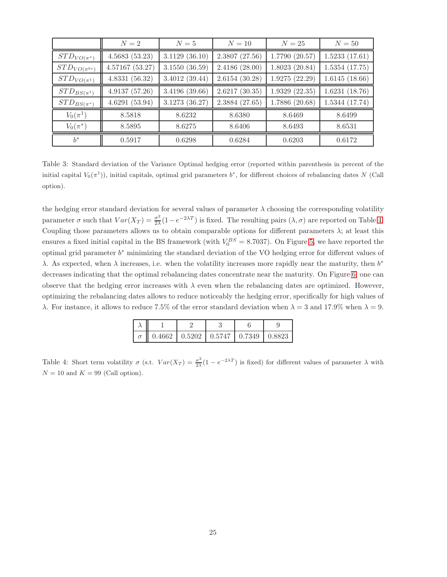|                      | $N=2$          | $N=5$          | $N=10$         | $N=25$         | $N=50$         |
|----------------------|----------------|----------------|----------------|----------------|----------------|
| $STD_{VO(\pi^*)}$    | 4.5683(53.23)  | 3.1129(36.10)  | 2.3807(27.56)  | 1.7790(20.57)  | 1.5233(17.61)  |
| $STD_{VO(\pi^{b*})}$ | 4.57167(53.27) | 3.1550(36.59)  | 2.4186(28.00)  | 1.8023(20.84)  | 1.5354(17.75)  |
| $STD_{VO(\pi^1)}$    | 4.8331(56.32)  | 3.4012(39.44)  | 2.6154(30.28)  | 1.9275(22.29)  | 1.6145(18.66)  |
| $STD_{BS(\pi^1)}$    | 4.9137(57.26)  | 3.4196 (39.66) | 2.6217(30.35)  | 1.9329(22.35)  | 1.6231(18.76)  |
| $STD_{BS(\pi^*)}$    | 4.6291(53.94)  | 3.1273 (36.27) | 2.3884 (27.65) | 1.7886 (20.68) | 1.5344 (17.74) |
| $V_0(\pi^1)$         | 8.5818         | 8.6232         | 8.6380         | 8.6469         | 8.6499         |
| $V_0(\pi^*)$         | 8.5895         | 8.6275         | 8.6406         | 8.6493         | 8.6531         |
| $h^*$                | 0.5917         | 0.6298         | 0.6284         | 0.6203         | 0.6172         |

<span id="page-25-0"></span>Table 3: Standard deviation of the Variance Optimal hedging error (reported within parenthesis in percent of the initial capital  $V_0(\pi^1)$ , initial capitals, optimal grid parameters  $b^*$ , for different choices of rebalancing dates N (Call option).

the hedging error standard deviation for several values of parameter  $\lambda$  choosing the corresponding volatility parameter  $\sigma$  such that  $Var(X_T) = \frac{\sigma^2}{2\lambda}$  $\frac{\sigma^2}{2\lambda}(1-e^{-2\lambda T})$  is fixed. The resulting pairs  $(\lambda, \sigma)$  are reported on Table [4.](#page-25-1) Coupling those parameters allows us to obtain comparable options for different parameters  $\lambda$ ; at least this ensures a fixed initial capital in the BS framework (with  $V_0^{BS} = 8.7037$ ). On Figure [5,](#page-26-0) we have reported the optimal grid parameter b <sup>∗</sup> minimizing the standard deviation of the VO hedging error for different values of  $\lambda$ . As expected, when  $\lambda$  increases, i.e. when the volatility increases more rapidly near the maturity, then  $b^*$ decreases indicating that the optimal rebalancing dates concentrate near the maturity. On Figure [6,](#page-26-1) one can observe that the hedging error increases with  $\lambda$  even when the rebalancing dates are optimized. However, optimizing the rebalancing dates allows to reduce noticeably the hedging error, specifically for high values of λ. For instance, it allows to reduce 7.5% of the error standard deviation when  $λ = 3$  and 17.9% when  $λ = 9$ .

| $\parallel$ 0.4662 $\parallel$ 0.5202 $\parallel$ 0.5747 $\parallel$ 0.7349 $\parallel$ 0.8823 |  |  |
|------------------------------------------------------------------------------------------------|--|--|

<span id="page-25-1"></span>Table 4: Short term volatility  $\sigma$  (s.t.  $Var(X_T) = \frac{\sigma^2}{2\lambda}$  $\frac{\sigma^2}{2\lambda}(1-e^{-2\lambda T})$  is fixed) for different values of parameter  $\lambda$  with  $N = 10$  and  $K = 99$  (Call option).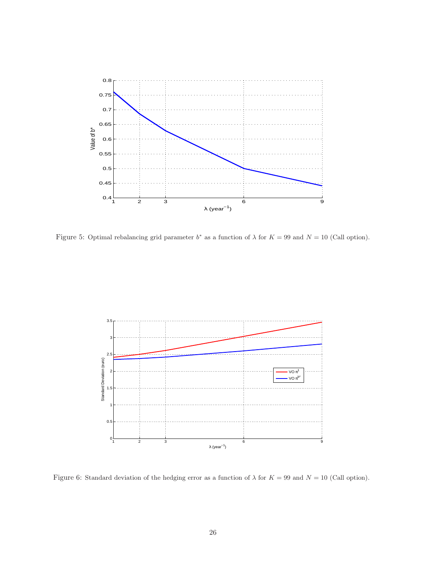

<span id="page-26-0"></span>Figure 5: Optimal rebalancing grid parameter  $b^*$  as a function of  $\lambda$  for  $K = 99$  and  $N = 10$  (Call option).



<span id="page-26-1"></span>Figure 6: Standard deviation of the hedging error as a function of  $\lambda$  for  $K = 99$  and  $N = 10$  (Call option).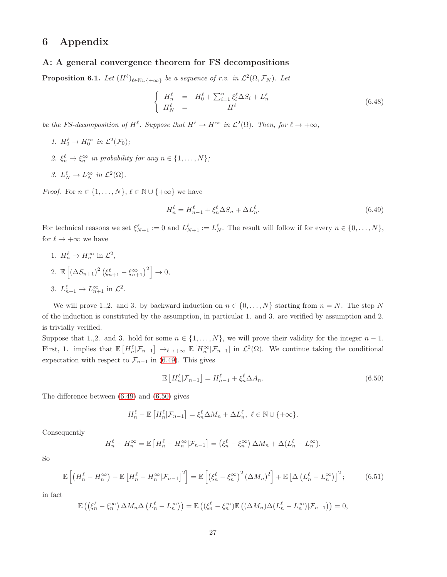## 6 Appendix

#### A: A general convergence theorem for FS decompositions

<span id="page-27-0"></span>**Proposition 6.1.** Let  $(H^{\ell})_{\ell \in \mathbb{N} \cup \{+\infty\}}$  be a sequence of r.v. in  $\mathcal{L}^2(\Omega, \mathcal{F}_N)$ . Let

$$
\begin{cases}\nH_n^{\ell} = H_0^{\ell} + \sum_{i=1}^n \xi_i^{\ell} \Delta S_i + L_n^{\ell} \\
H_N^{\ell} = H^{\ell}\n\end{cases} \n(6.48)
$$

be the FS-decomposition of  $H^{\ell}$ . Suppose that  $H^{\ell} \to H^{\infty}$  in  $\mathcal{L}^2(\Omega)$ . Then, for  $\ell \to +\infty$ ,

- 1.  $H_0^{\ell} \to H_0^{\infty}$  in  $\mathcal{L}^2(\mathcal{F}_0)$ ;
- 2.  $\xi_n^{\ell} \to \xi_n^{\infty}$  in probability for any  $n \in \{1, ..., N\}$ ;
- 3.  $L_N^{\ell} \to L_N^{\infty}$  in  $\mathcal{L}^2(\Omega)$ .

*Proof.* For  $n \in \{1, ..., N\}, \ell \in \mathbb{N} \cup \{+\infty\}$  we have

<span id="page-27-1"></span>
$$
H_n^{\ell} = H_{n-1}^{\ell} + \xi_n^{\ell} \Delta S_n + \Delta L_n^{\ell}.
$$
\n
$$
(6.49)
$$

For technical reasons we set  $\xi_{N+1}^{\ell} := 0$  and  $L_{N+1}^{\ell} := L_N^{\ell}$ . The result will follow if for every  $n \in \{0, ..., N\}$ , for  $\ell \to +\infty$  we have

1.  $H_n^{\ell} \to H_n^{\infty}$  in  $\mathcal{L}^2$ , 2.  $\mathbb{E}\left[\left(\Delta S_{n+1}\right)^2 \left(\xi_{n+1}^{\ell} - \xi_{n+1}^{\infty}\right)^2\right] \to 0,$ 3.  $L_{n+1}^{\ell} \to L_{n+1}^{\infty}$  in  $\mathcal{L}^2$ .

We will prove 1.,2. and 3. by backward induction on  $n \in \{0, \ldots, N\}$  starting from  $n = N$ . The step N of the induction is constituted by the assumption, in particular 1. and 3. are verified by assumption and 2. is trivially verified.

Suppose that 1.,2. and 3. hold for some  $n \in \{1, ..., N\}$ , we will prove their validity for the integer  $n-1$ . First, 1. implies that  $\mathbb{E}\left[H_n^{\ell}|\mathcal{F}_{n-1}\right] \to_{\ell \to +\infty} \mathbb{E}\left[H_n^{\infty}|\mathcal{F}_{n-1}\right]$  in  $\mathcal{L}^2(\Omega)$ . We continue taking the conditional expectation with respect to  $\mathcal{F}_{n-1}$  in [\(6.49\)](#page-27-1). This gives

<span id="page-27-2"></span>
$$
\mathbb{E}\left[H_n^{\ell}|\mathcal{F}_{n-1}\right] = H_{n-1}^{\ell} + \xi_n^{\ell} \Delta A_n.
$$
\n(6.50)

The difference between [\(6.49\)](#page-27-1) and [\(6.50\)](#page-27-2) gives

$$
H_n^{\ell} - \mathbb{E}\left[H_n^{\ell}|\mathcal{F}_{n-1}\right] = \xi_n^{\ell} \Delta M_n + \Delta L_n^{\ell}, \ \ell \in \mathbb{N} \cup \{+\infty\}.
$$

Consequently

$$
H_n^{\ell} - H_n^{\infty} = \mathbb{E}\left[H_n^{\ell} - H_n^{\infty}|\mathcal{F}_{n-1}\right] = \left(\xi_n^{\ell} - \xi_n^{\infty}\right)\Delta M_n + \Delta(L_n^{\ell} - L_n^{\infty}).
$$

So

<span id="page-27-3"></span>
$$
\mathbb{E}\left[\left(H_n^{\ell}-H_n^{\infty}\right)-\mathbb{E}\left[H_n^{\ell}-H_n^{\infty}|\mathcal{F}_{n-1}\right]^2\right]=\mathbb{E}\left[\left(\xi_n^{\ell}-\xi_n^{\infty}\right)^2\left(\Delta M_n\right)^2\right]+\mathbb{E}\left[\Delta\left(L_n^{\ell}-L_n^{\infty}\right)\right]^2;\tag{6.51}
$$

in fact

$$
\mathbb{E}\left(\left(\xi_n^{\ell}-\xi_n^{\infty}\right)\Delta M_n\Delta\left(L_n^{\ell}-L_n^{\infty}\right)\right)=\mathbb{E}\left(\left(\xi_n^{\ell}-\xi_n^{\infty}\right)\mathbb{E}\left((\Delta M_n)\Delta(L_n^{\ell}-L_n^{\infty})|\mathcal{F}_{n-1}\right)\right)=0,
$$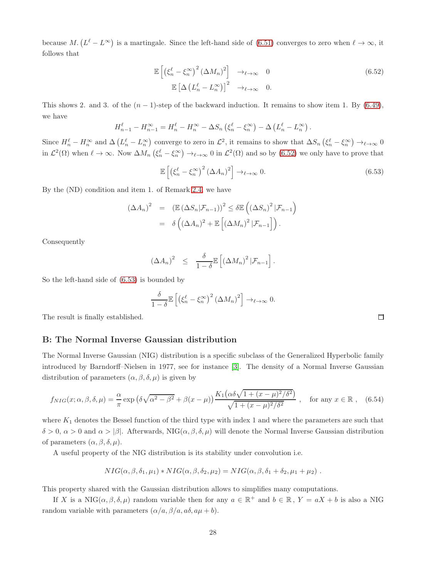because  $M$ .  $(L^{\ell}-L^{\infty})$  is a martingale. Since the left-hand side of [\(6.51\)](#page-27-3) converges to zero when  $\ell \to \infty$ , it follows that

<span id="page-28-1"></span>
$$
\mathbb{E}\left[\left(\xi_n^{\ell} - \xi_n^{\infty}\right)^2 (\Delta M_n)^2\right] \to_{\ell \to \infty} 0
$$
\n
$$
\mathbb{E}\left[\Delta \left(L_n^{\ell} - L_n^{\infty}\right)\right]^2 \to_{\ell \to \infty} 0.
$$
\n(6.52)

This shows 2. and 3. of the  $(n-1)$ -step of the backward induction. It remains to show item 1. By [\(6.49\)](#page-27-1), we have

$$
H_{n-1}^{\ell} - H_{n-1}^{\infty} = H_n^{\ell} - H_n^{\infty} - \Delta S_n \left( \xi_n^{\ell} - \xi_n^{\infty} \right) - \Delta \left( L_n^{\ell} - L_n^{\infty} \right).
$$

Since  $H_n^{\ell} - H_n^{\infty}$  and  $\Delta \left( L_n^{\ell} - L_n^{\infty} \right)$  converge to zero in  $\mathcal{L}^2$ , it remains to show that  $\Delta S_n \left( \xi_n^{\ell} - \xi_n^{\infty} \right) \to_{\ell \to \infty} 0$ in  $\mathcal{L}^2(\Omega)$  when  $\ell \to \infty$ . Now  $\Delta M_n \left( \xi_n^{\ell} - \xi_n^{\infty} \right) \to_{\ell \to \infty} 0$  in  $\mathcal{L}^2(\Omega)$  and so by  $(6.52)$  we only have to prove that

<span id="page-28-2"></span>
$$
\mathbb{E}\left[\left(\xi_n^{\ell} - \xi_n^{\infty}\right)^2 \left(\Delta A_n\right)^2\right] \to_{\ell \to \infty} 0. \tag{6.53}
$$

By the (ND) condition and item 1. of Remark [2.4,](#page-5-0) we have

$$
(\Delta A_n)^2 = (\mathbb{E} (\Delta S_n | \mathcal{F}_{n-1}))^2 \le \delta \mathbb{E} \left( (\Delta S_n)^2 | \mathcal{F}_{n-1} \right)
$$
  
=  $\delta \left( (\Delta A_n)^2 + \mathbb{E} \left[ (\Delta M_n)^2 | \mathcal{F}_{n-1} \right] \right).$ 

Consequently

$$
(\Delta A_n)^2 \leq \frac{\delta}{1-\delta} \mathbb{E}\left[ \left( \Delta M_n \right)^2 | \mathcal{F}_{n-1} \right].
$$

So the left-hand side of [\(6.53\)](#page-28-2) is bounded by

$$
\frac{\delta}{1-\delta}\mathbb{E}\left[\left(\xi_n^{\ell}-\xi_n^{\infty}\right)^2\left(\Delta M_n\right)^2\right]\to_{\ell\to\infty} 0.
$$

The result is finally established.

#### <span id="page-28-0"></span>B: The Normal Inverse Gaussian distribution

The Normal Inverse Gaussian (NIG) distribution is a specific subclass of the Generalized Hyperbolic family introduced by Barndorff–Nielsen in 1977, see for instance [\[3\]](#page-29-6). The density of a Normal Inverse Gaussian distribution of parameters  $(\alpha, \beta, \delta, \mu)$  is given by

$$
f_{NIG}(x; \alpha, \beta, \delta, \mu) = \frac{\alpha}{\pi} \exp\left(\delta\sqrt{\alpha^2 - \beta^2} + \beta(x - \mu)\right) \frac{K_1\left(\alpha\delta\sqrt{1 + (x - \mu)^2/\delta^2}\right)}{\sqrt{1 + (x - \mu)^2/\delta^2}} \,, \text{ for any } x \in \mathbb{R} \,, \tag{6.54}
$$

where  $K_1$  denotes the Bessel function of the third type with index 1 and where the parameters are such that δ > 0, α > 0 and α > |β|. Afterwards, NIG(α, β, δ, µ) will denote the Normal Inverse Gaussian distribution of parameters  $(\alpha, \beta, \delta, \mu)$ .

A useful property of the NIG distribution is its stability under convolution i.e.

$$
NIG(\alpha, \beta, \delta_1, \mu_1) * NIG(\alpha, \beta, \delta_2, \mu_2) = NIG(\alpha, \beta, \delta_1 + \delta_2, \mu_1 + \mu_2).
$$

This property shared with the Gaussian distribution allows to simplifies many computations.

If X is a NIG $(\alpha, \beta, \delta, \mu)$  random variable then for any  $a \in \mathbb{R}^+$  and  $b \in \mathbb{R}$ ,  $Y = aX + b$  is also a NIG random variable with parameters  $(\alpha/a, \beta/a, a\delta, a\mu + b)$ .

 $\Box$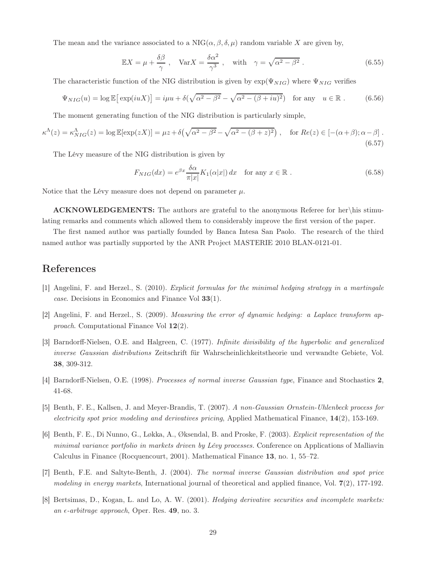The mean and the variance associated to a  $NIG(\alpha, \beta, \delta, \mu)$  random variable X are given by,

$$
\mathbb{E}X = \mu + \frac{\delta\beta}{\gamma}, \quad \text{Var}X = \frac{\delta\alpha^2}{\gamma^3}, \quad \text{with} \quad \gamma = \sqrt{\alpha^2 - \beta^2}.
$$
 (6.55)

The characteristic function of the NIG distribution is given by  $\exp(\Psi_{NIG})$  where  $\Psi_{NIG}$  verifies

$$
\Psi_{NIG}(u) = \log \mathbb{E} \left[ \exp(iuX) \right] = i\mu u + \delta(\sqrt{\alpha^2 - \beta^2} - \sqrt{\alpha^2 - (\beta + iu)^2}) \quad \text{for any} \quad u \in \mathbb{R} \; . \tag{6.56}
$$

The moment generating function of the NIG distribution is particularly simple,

<span id="page-29-5"></span>
$$
\kappa^{\Lambda}(z) = \kappa^{\Lambda}_{NIG}(z) = \log \mathbb{E}[\exp(zX)] = \mu z + \delta \left( \sqrt{\alpha^2 - \beta^2} - \sqrt{\alpha^2 - (\beta + z)^2} \right), \quad \text{for } Re(z) \in [-(\alpha + \beta); \alpha - \beta].
$$
\n(6.57)

The Lévy measure of the NIG distribution is given by

$$
F_{NIG}(dx) = e^{\beta x} \frac{\delta \alpha}{\pi |x|} K_1(\alpha |x|) dx \quad \text{for any } x \in \mathbb{R}.
$$
 (6.58)

Notice that the Lévy measure does not depend on parameter  $\mu$ .

ACKNOWLEDGEMENTS: The authors are grateful to the anonymous Referee for her\his stimulating remarks and comments which allowed them to considerably improve the first version of the paper.

The first named author was partially founded by Banca Intesa San Paolo. The research of the third named author was partially supported by the ANR Project MASTERIE 2010 BLAN-0121-01.

## <span id="page-29-2"></span>References

- <span id="page-29-3"></span>[1] Angelini, F. and Herzel., S. (2010). Explicit formulas for the minimal hedging strategy in a martingale case. Decisions in Economics and Finance Vol 33(1).
- <span id="page-29-6"></span>[2] Angelini, F. and Herzel., S. (2009). Measuring the error of dynamic hedging: a Laplace transform approach. Computational Finance Vol 12(2).
- [3] Barndorff-Nielsen, O.E. and Halgreen, C. (1977). Infinite divisibility of the hyperbolic and generalized inverse Gaussian distributions Zeitschrift für Wahrscheinlichkeitstheorie und verwandte Gebiete, Vol. 38, 309-312.
- [4] Barndorff-Nielsen, O.E. (1998). Processes of normal inverse Gaussian type, Finance and Stochastics 2, 41-68.
- <span id="page-29-0"></span>[5] Benth, F. E., Kallsen, J. and Meyer-Brandis, T. (2007). A non-Gaussian Ornstein-Uhlenbeck process for electricity spot price modeling and derivatives pricing, Applied Mathematical Finance, 14(2), 153-169.
- [6] Benth, F. E., Di Nunno, G., Løkka, A., Øksendal, B. and Proske, F. (2003). Explicit representation of the minimal variance portfolio in markets driven by Lévy processes. Conference on Applications of Malliavin Calculus in Finance (Rocquencourt, 2001). Mathematical Finance 13, no. 1, 55–72.
- <span id="page-29-4"></span><span id="page-29-1"></span>[7] Benth, F.E. and Saltyte-Benth, J. (2004). The normal inverse Gaussian distribution and spot price modeling in energy markets, International journal of theoretical and applied finance, Vol. 7(2), 177-192.
- [8] Bertsimas, D., Kogan, L. and Lo, A. W. (2001). Hedging derivative securities and incomplete markets: an  $\epsilon$ -arbitrage approach, Oper. Res. 49, no. 3.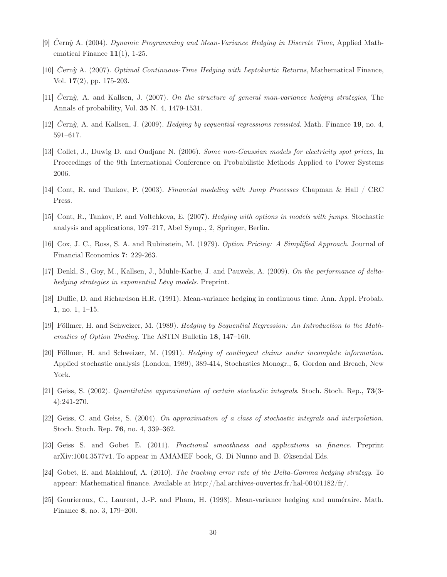- <span id="page-30-8"></span><span id="page-30-6"></span>[9] Cerny A. (2004). Dynamic Programming and Mean-Variance Hedging in Discrete Time, Applied Mathematical Finance  $11(1)$ , 1-25.
- <span id="page-30-2"></span>[10] Cerny A. (2007). Optimal Continuous-Time Hedging with Leptokurtic Returns, Mathematical Finance, Vol. 17(2), pp. 175-203.
- <span id="page-30-7"></span>[11]  $\check{C}$ ern $\hat{y}$ , A. and Kallsen, J. (2007). On the structure of general man-variance hedging strategies, The Annals of probability, Vol. 35 N. 4, 1479-1531.
- <span id="page-30-10"></span>[12]  $\check{C}$ ern $\hat{y}$ , A. and Kallsen, J. (2009). Hedging by sequential regressions revisited. Math. Finance 19, no. 4, 591–617.
- [13] Collet, J., Duwig D. and Oudjane N. (2006). Some non-Gaussian models for electricity spot prices, In Proceedings of the 9th International Conference on Probabilistic Methods Applied to Power Systems 2006.
- <span id="page-30-3"></span>[14] Cont, R. and Tankov, P. (2003). Financial modeling with Jump Processes Chapman & Hall / CRC Press.
- <span id="page-30-4"></span>[15] Cont, R., Tankov, P. and Voltchkova, E. (2007). Hedging with options in models with jumps. Stochastic analysis and applications, 197–217, Abel Symp., 2, Springer, Berlin.
- <span id="page-30-9"></span>[16] Cox, J. C., Ross, S. A. and Rubinstein, M. (1979). Option Pricing: A Simplified Approach. Journal of Financial Economics 7: 229-263.
- <span id="page-30-0"></span>[17] Denkl, S., Goy, M., Kallsen, J., Muhle-Karbe, J. and Pauwels, A. (2009). On the performance of deltahedging strategies in exponential Lévy models. Preprint.
- <span id="page-30-5"></span>[18] Duffie, D. and Richardson H.R. (1991). Mean-variance hedging in continuous time. Ann. Appl. Probab. 1, no. 1, 1–15.
- [19] Föllmer, H. and Schweizer, M. (1989). Hedging by Sequential Regression: An Introduction to the Mathematics of Option Trading. The ASTIN Bulletin 18, 147–160.
- [20] Föllmer, H. and Schweizer, M. (1991). Hedging of contingent claims under incomplete information. Applied stochastic analysis (London, 1989), 389-414, Stochastics Monogr., 5, Gordon and Breach, New York.
- <span id="page-30-12"></span><span id="page-30-11"></span>[21] Geiss, S. (2002). Quantitative approximation of certain stochastic integrals. Stoch. Stoch. Rep., 73(3- 4):241-270.
- <span id="page-30-13"></span>[22] Geiss, C. and Geiss, S. (2004). On approximation of a class of stochastic integrals and interpolation. Stoch. Stoch. Rep. 76, no. 4, 339–362.
- <span id="page-30-14"></span>[23] Geiss S. and Gobet E. (2011). Fractional smoothness and applications in finance. Preprint arXiv:1004.3577v1. To appear in AMAMEF book, G. Di Nunno and B. Øksendal Eds.
- <span id="page-30-1"></span>[24] Gobet, E. and Makhlouf, A. (2010). The tracking error rate of the Delta-Gamma hedging strategy. To appear: Mathematical finance. Available at http://hal.archives-ouvertes.fr/hal-00401182/fr/.
- [25] Gourieroux, C., Laurent, J.-P. and Pham, H. (1998). Mean-variance hedging and numéraire. Math. Finance 8, no. 3, 179–200.